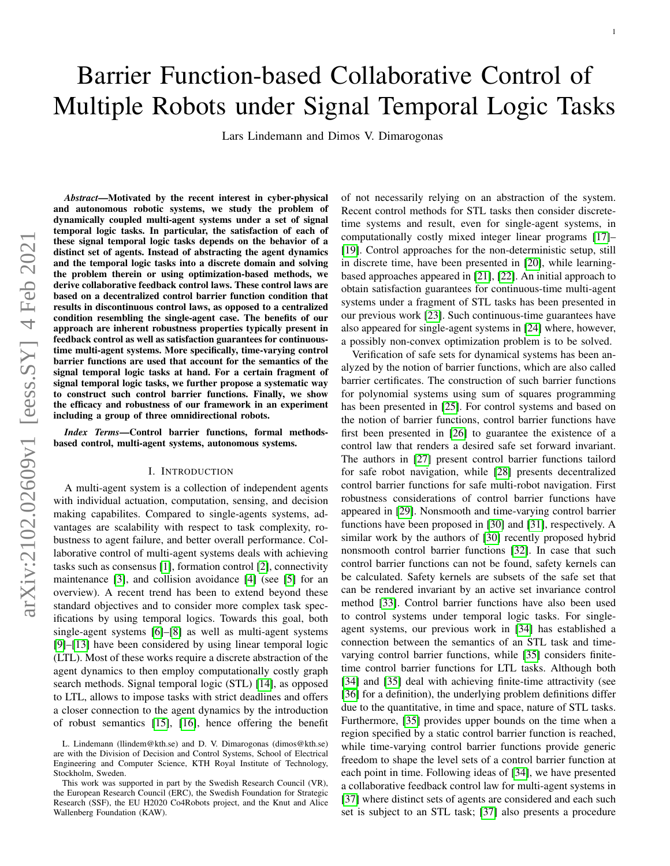# Barrier Function-based Collaborative Control of Multiple Robots under Signal Temporal Logic Tasks

Lars Lindemann and Dimos V. Dimarogonas

*Abstract*—Motivated by the recent interest in cyber-physical and autonomous robotic systems, we study the problem of dynamically coupled multi-agent systems under a set of signal temporal logic tasks. In particular, the satisfaction of each of these signal temporal logic tasks depends on the behavior of a distinct set of agents. Instead of abstracting the agent dynamics and the temporal logic tasks into a discrete domain and solving the problem therein or using optimization-based methods, we derive collaborative feedback control laws. These control laws are based on a decentralized control barrier function condition that results in discontinuous control laws, as opposed to a centralized condition resembling the single-agent case. The benefits of our approach are inherent robustness properties typically present in feedback control as well as satisfaction guarantees for continuoustime multi-agent systems. More specifically, time-varying control barrier functions are used that account for the semantics of the signal temporal logic tasks at hand. For a certain fragment of signal temporal logic tasks, we further propose a systematic way to construct such control barrier functions. Finally, we show the efficacy and robustness of our framework in an experiment including a group of three omnidirectional robots.

*Index Terms*—Control barrier functions, formal methodsbased control, multi-agent systems, autonomous systems.

#### I. INTRODUCTION

A multi-agent system is a collection of independent agents with individual actuation, computation, sensing, and decision making capabilites. Compared to single-agents systems, advantages are scalability with respect to task complexity, robustness to agent failure, and better overall performance. Collaborative control of multi-agent systems deals with achieving tasks such as consensus [\[1\]](#page-10-0), formation control [\[2\]](#page-10-1), connectivity maintenance [\[3\]](#page-10-2), and collision avoidance [\[4\]](#page-10-3) (see [\[5\]](#page-10-4) for an overview). A recent trend has been to extend beyond these standard objectives and to consider more complex task specifications by using temporal logics. Towards this goal, both single-agent systems [\[6\]](#page-10-5)–[\[8\]](#page-10-6) as well as multi-agent systems [\[9\]](#page-10-7)–[\[13\]](#page-10-8) have been considered by using linear temporal logic (LTL). Most of these works require a discrete abstraction of the agent dynamics to then employ computationally costly graph search methods. Signal temporal logic (STL) [\[14\]](#page-10-9), as opposed to LTL, allows to impose tasks with strict deadlines and offers a closer connection to the agent dynamics by the introduction of robust semantics [\[15\]](#page-10-10), [\[16\]](#page-11-0), hence offering the benefit of not necessarily relying on an abstraction of the system. Recent control methods for STL tasks then consider discretetime systems and result, even for single-agent systems, in computationally costly mixed integer linear programs [\[17\]](#page-11-1)– [\[19\]](#page-11-2). Control approaches for the non-deterministic setup, still in discrete time, have been presented in [\[20\]](#page-11-3), while learningbased approaches appeared in [\[21\]](#page-11-4), [\[22\]](#page-11-5). An initial approach to obtain satisfaction guarantees for continuous-time multi-agent systems under a fragment of STL tasks has been presented in our previous work [\[23\]](#page-11-6). Such continuous-time guarantees have also appeared for single-agent systems in [\[24\]](#page-11-7) where, however, a possibly non-convex optimization problem is to be solved.

Verification of safe sets for dynamical systems has been analyzed by the notion of barrier functions, which are also called barrier certificates. The construction of such barrier functions for polynomial systems using sum of squares programming has been presented in [\[25\]](#page-11-8). For control systems and based on the notion of barrier functions, control barrier functions have first been presented in [\[26\]](#page-11-9) to guarantee the existence of a control law that renders a desired safe set forward invariant. The authors in [\[27\]](#page-11-10) present control barrier functions tailord for safe robot navigation, while [\[28\]](#page-11-11) presents decentralized control barrier functions for safe multi-robot navigation. First robustness considerations of control barrier functions have appeared in [\[29\]](#page-11-12). Nonsmooth and time-varying control barrier functions have been proposed in [\[30\]](#page-11-13) and [\[31\]](#page-11-14), respectively. A similar work by the authors of [\[30\]](#page-11-13) recently proposed hybrid nonsmooth control barrier functions [\[32\]](#page-11-15). In case that such control barrier functions can not be found, safety kernels can be calculated. Safety kernels are subsets of the safe set that can be rendered invariant by an active set invariance control method [\[33\]](#page-11-16). Control barrier functions have also been used to control systems under temporal logic tasks. For singleagent systems, our previous work in [\[34\]](#page-11-17) has established a connection between the semantics of an STL task and timevarying control barrier functions, while [\[35\]](#page-11-18) considers finitetime control barrier functions for LTL tasks. Although both [\[34\]](#page-11-17) and [\[35\]](#page-11-18) deal with achieving finite-time attractivity (see [\[36\]](#page-11-19) for a definition), the underlying problem definitions differ due to the quantitative, in time and space, nature of STL tasks. Furthermore, [\[35\]](#page-11-18) provides upper bounds on the time when a region specified by a static control barrier function is reached, while time-varying control barrier functions provide generic freedom to shape the level sets of a control barrier function at each point in time. Following ideas of [\[34\]](#page-11-17), we have presented a collaborative feedback control law for multi-agent systems in [\[37\]](#page-11-20) where distinct sets of agents are considered and each such set is subject to an STL task; [\[37\]](#page-11-20) also presents a procedure

L. Lindemann (llindem@kth.se) and D. V. Dimarogonas (dimos@kth.se) are with the Division of Decision and Control Systems, School of Electrical Engineering and Computer Science, KTH Royal Institute of Technology, Stockholm, Sweden.

This work was supported in part by the Swedish Research Council (VR), the European Research Council (ERC), the Swedish Foundation for Strategic Research (SSF), the EU H2020 Co4Robots project, and the Knut and Alice Wallenberg Foundation (KAW).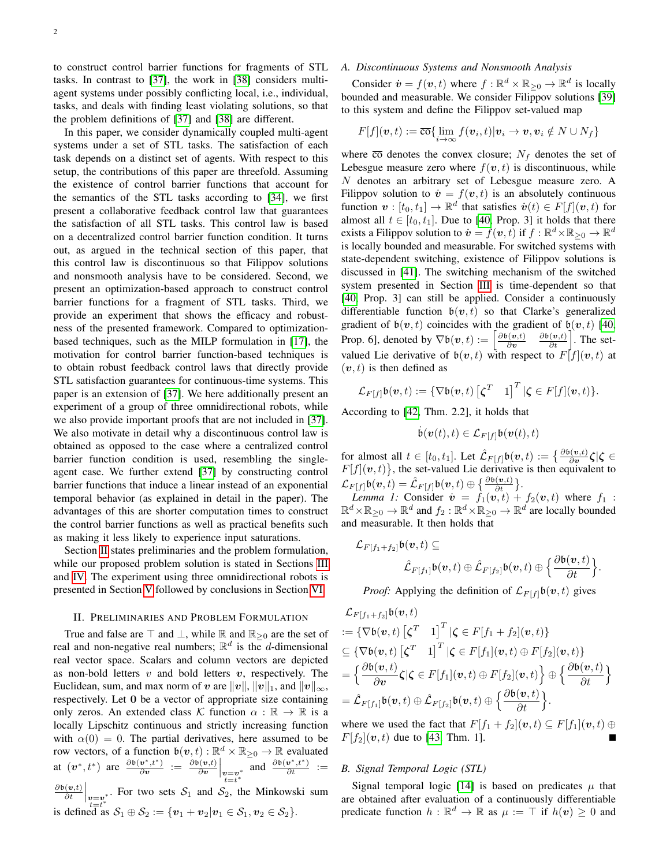to construct control barrier functions for fragments of STL tasks. In contrast to [\[37\]](#page-11-20), the work in [\[38\]](#page-11-21) considers multiagent systems under possibly conflicting local, i.e., individual, tasks, and deals with finding least violating solutions, so that the problem definitions of [\[37\]](#page-11-20) and [\[38\]](#page-11-21) are different.

In this paper, we consider dynamically coupled multi-agent systems under a set of STL tasks. The satisfaction of each task depends on a distinct set of agents. With respect to this setup, the contributions of this paper are threefold. Assuming the existence of control barrier functions that account for the semantics of the STL tasks according to [\[34\]](#page-11-17), we first present a collaborative feedback control law that guarantees the satisfaction of all STL tasks. This control law is based on a decentralized control barrier function condition. It turns out, as argued in the technical section of this paper, that this control law is discontinuous so that Filippov solutions and nonsmooth analysis have to be considered. Second, we present an optimization-based approach to construct control barrier functions for a fragment of STL tasks. Third, we provide an experiment that shows the efficacy and robustness of the presented framework. Compared to optimizationbased techniques, such as the MILP formulation in [\[17\]](#page-11-1), the motivation for control barrier function-based techniques is to obtain robust feedback control laws that directly provide STL satisfaction guarantees for continuous-time systems. This paper is an extension of [\[37\]](#page-11-20). We here additionally present an experiment of a group of three omnidirectional robots, while we also provide important proofs that are not included in [\[37\]](#page-11-20). We also motivate in detail why a discontinuous control law is obtained as opposed to the case where a centralized control barrier function condition is used, resembling the singleagent case. We further extend [\[37\]](#page-11-20) by constructing control barrier functions that induce a linear instead of an exponential temporal behavior (as explained in detail in the paper). The advantages of this are shorter computation times to construct the control barrier functions as well as practical benefits such as making it less likely to experience input saturations.

Section [II](#page-1-0) states preliminaries and the problem formulation, while our proposed problem solution is stated in Sections [III](#page-3-0) and [IV.](#page-5-0) The experiment using three omnidirectional robots is presented in Section [V](#page-7-0) followed by conclusions in Section [VI.](#page-8-0)

#### II. PRELIMINARIES AND PROBLEM FORMULATION

<span id="page-1-0"></span>True and false are  $\top$  and  $\bot$ , while  $\mathbb R$  and  $\mathbb R_{\geq 0}$  are the set of real and non-negative real numbers;  $\mathbb{R}^d$  is the d-dimensional real vector space. Scalars and column vectors are depicted as non-bold letters  $v$  and bold letters  $v$ , respectively. The Euclidean, sum, and max norm of v are  $||v||$ ,  $||v||_1$ , and  $||v||_{\infty}$ , respectively. Let 0 be a vector of appropriate size containing only zeros. An extended class K function  $\alpha : \mathbb{R} \to \mathbb{R}$  is a locally Lipschitz continuous and strictly increasing function with  $\alpha(0) = 0$ . The partial derivatives, here assumed to be row vectors, of a function  $\mathfrak{b}(\boldsymbol{v},t): \mathbb{R}^d \times \mathbb{R}_{\geq 0} \to \mathbb{R}$  evaluated at  $(v^*, t^*)$  are  $\frac{\partial b(v^*, t^*)}{\partial v}$  $\frac{\partial \bm{v}^*,t^*}{\partial \bm{v}} \ := \ \frac{\partial \mathfrak{b}(\bm{v},t)}{\partial \bm{v}}$  $\bar{\partial v}^{\left(v,t\right)}\Big|_{\substack{v=v^* \ t=t^*}}$  and  $\frac{\partial \mathfrak{b}(v^*,t^*)}{\partial t} :=$  $\partial \mathfrak{b}(\boldsymbol{v},t)$ 

 $\left.\frac{(v,t)}{\partial t}\right|_{\substack{v=v^*\\ t=t^*}}$ . For two sets  $S_1$  and  $S_2$ , the Minkowski sum is defined as  $S_1 \oplus S_2 := \{v_1 + v_2 | v_1 \in S_1, v_2 \in S_2\}.$ 

## *A. Discontinuous Systems and Nonsmooth Analysis*

Consider  $\dot{\boldsymbol{v}} = f(\boldsymbol{v}, t)$  where  $f : \mathbb{R}^d \times \mathbb{R}_{\geq 0} \to \mathbb{R}^d$  is locally bounded and measurable. We consider Filippov solutions [\[39\]](#page-11-22) to this system and define the Filippov set-valued map

$$
F[f](\boldsymbol{v},t) := \overline{\cos}\left\{\lim_{i\to\infty} f(\boldsymbol{v}_i,t)|\boldsymbol{v}_i\to\boldsymbol{v},\boldsymbol{v}_i\notin N\cup N_f\right\}
$$

where  $\overline{co}$  denotes the convex closure;  $N_f$  denotes the set of Lebesgue measure zero where  $f(\mathbf{v}, t)$  is discontinuous, while N denotes an arbitrary set of Lebesgue measure zero. A Filippov solution to  $\dot{\mathbf{v}} = f(\mathbf{v}, t)$  is an absolutely continuous function  $\mathbf{v}: [t_0, t_1] \to \mathbb{R}^d$  that satisfies  $\dot{\mathbf{v}}(t) \in F[f](\mathbf{v}, t)$  for almost all  $t \in [t_0, t_1]$ . Due to [\[40,](#page-11-23) Prop. 3] it holds that there exists a Filippov solution to  $\dot{\bm{v}} = f(\bm{v},t)$  if  $f: \mathbb{R}^d {\times} \mathbb{R}_{\geq 0} \to \mathbb{R}^d$ is locally bounded and measurable. For switched systems with state-dependent switching, existence of Filippov solutions is discussed in [\[41\]](#page-11-24). The switching mechanism of the switched system presented in Section [III](#page-3-0) is time-dependent so that [\[40,](#page-11-23) Prop. 3] can still be applied. Consider a continuously differentiable function  $b(v, t)$  so that Clarke's generalized gradient of  $\mathfrak{b}(\mathbf{v},t)$  coincides with the gradient of  $\mathfrak{b}(\mathbf{v},t)$  [\[40,](#page-11-23) Prop. 6], denoted by  $\nabla \mathfrak{b}(\mathbf{v},t) := \left[\frac{\partial \mathfrak{b}(\mathbf{v},t)}{\partial \mathbf{v}}\right]$ ∂v  $\frac{\partial \mathfrak{b}(\mathbf{v},t)}{\partial t}$ . The setvalued Lie derivative of  $b(v, t)$  with respect to  $F[f](v, t)$  at  $(v, t)$  is then defined as

$$
\mathcal{L}_{F[f]}\mathfrak{b}(\boldsymbol{v},t):=\{\nabla \mathfrak{b}(\boldsymbol{v},t)\begin{bmatrix} \boldsymbol{\zeta}^T & 1 \end{bmatrix}^T|\boldsymbol{\zeta}\in F[f](\boldsymbol{v},t)\}.
$$

According to [\[42,](#page-11-25) Thm. 2.2], it holds that

<span id="page-1-1"></span>
$$
\dot{\mathfrak{b}}(\boldsymbol{v}(t),t)\in\mathcal{L}_{F[f]}\mathfrak{b}(\boldsymbol{v}(t),t)
$$

for almost all  $t \in [t_0, t_1]$ . Let  $\mathcal{\hat{L}}_{F[f]} \mathfrak{b}(\boldsymbol{v}, t) := \left\{ \frac{\partial \mathfrak{b}(\boldsymbol{v}, t)}{\partial \boldsymbol{v}} \zeta | \zeta \in \right\}$  $F[f](v, t)$ , the set-valued Lie derivative is then equivalent to  $\mathcal{L}_{F[f]}\mathfrak{b}(\boldsymbol{v},t)=\hat{\mathcal{L}}_{F[f]}\mathfrak{b}(\boldsymbol{v},t)\oplus\big\{\frac{\partial \mathfrak{b}(\boldsymbol{v},t)}{\partial t}\big\}.$ 

*Lemma 1:* Consider  $\dot{v} = f_1(v,t) + f_2(v,t)$  where  $f_1$  :  $\mathbb{R}^d \times \mathbb{R}_{\geq 0} \to \mathbb{R}^d$  and  $f_2 : \mathbb{R}^d \times \mathbb{R}_{\geq 0} \to \mathbb{R}^d$  are locally bounded and measurable. It then holds that

$$
\mathcal{L}_{F[f_1+f_2]}\mathfrak{b}(\boldsymbol{v},t)\subseteq\\ ~~\hat{\mathcal{L}}_{F[f_1]}\mathfrak{b}(\boldsymbol{v},t)\oplus\hat{\mathcal{L}}_{F[f_2]}\mathfrak{b}(\boldsymbol{v},t)\oplus\Big\{\frac{\partial \mathfrak{b}(\boldsymbol{v},t)}{\partial t}\Big\}.
$$

*Proof:* Applying the definition of  $\mathcal{L}_{F[f]} \mathfrak{b}(\mathbf{v}, t)$  gives

$$
\mathcal{L}_{F[f_1+f_2]} \mathfrak{b}(\mathbf{v},t)
$$
\n
$$
:= \{ \nabla \mathfrak{b}(\mathbf{v},t) \begin{bmatrix} \zeta^T & 1 \end{bmatrix}^T | \zeta \in F[f_1+f_2](\mathbf{v},t) \}
$$
\n
$$
\subseteq \{ \nabla \mathfrak{b}(\mathbf{v},t) \begin{bmatrix} \zeta^T & 1 \end{bmatrix}^T | \zeta \in F[f_1](\mathbf{v},t) \oplus F[f_2](\mathbf{v},t) \}
$$
\n
$$
= \left\{ \frac{\partial \mathfrak{b}(\mathbf{v},t)}{\partial \mathbf{v}} \zeta | \zeta \in F[f_1](\mathbf{v},t) \oplus F[f_2](\mathbf{v},t) \right\} \oplus \left\{ \frac{\partial \mathfrak{b}(\mathbf{v},t)}{\partial t} \right\}
$$
\n
$$
= \hat{\mathcal{L}}_{F[f_1]} \mathfrak{b}(\mathbf{v},t) \oplus \hat{\mathcal{L}}_{F[f_2]} \mathfrak{b}(\mathbf{v},t) \oplus \left\{ \frac{\partial \mathfrak{b}(\mathbf{v},t)}{\partial t} \right\}.
$$

where we used the fact that  $F[f_1 + f_2](v, t) \subseteq F[f_1](v, t) \oplus$  $F[f_2](v, t)$  due to [\[43,](#page-11-26) Thm. 1].

## *B. Signal Temporal Logic (STL)*

Signal temporal logic [\[14\]](#page-10-9) is based on predicates  $\mu$  that are obtained after evaluation of a continuously differentiable predicate function  $h : \mathbb{R}^d \to \mathbb{R}$  as  $\mu := \top$  if  $h(v) \geq 0$  and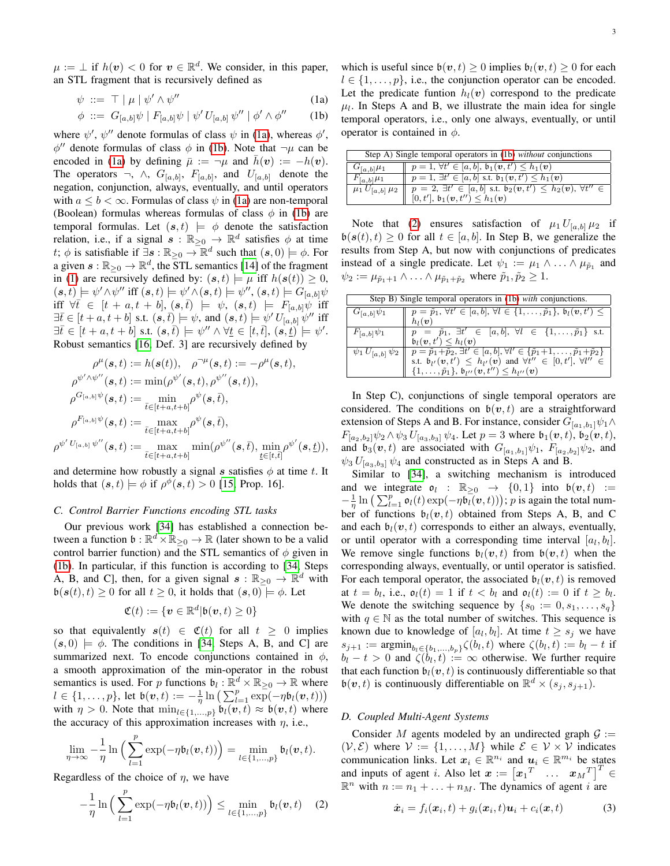$$
\psi \ ::= \top \mid \mu \mid \psi' \land \psi'' \tag{1a}
$$

$$
\phi \ ::= G_{[a,b]}\psi \mid F_{[a,b]}\psi \mid \psi' U_{[a,b]}\psi'' \mid \phi' \wedge \phi'' \qquad (1b)
$$

where  $\psi'$ ,  $\psi''$  denote formulas of class  $\psi$  in [\(1a\)](#page-2-0), whereas  $\phi'$ ,  $\phi''$  denote formulas of class  $\phi$  in [\(1b\)](#page-2-1). Note that  $\neg \mu$  can be encoded in [\(1a\)](#page-2-0) by defining  $\bar{\mu} := -\mu$  and  $\bar{h}(v) := -h(v)$ . The operators  $\neg$ ,  $\wedge$ ,  $G_{[a,b]}$ ,  $F_{[a,b]}$ , and  $U_{[a,b]}$  denote the negation, conjunction, always, eventually, and until operators with  $a \leq b < \infty$ . Formulas of class  $\psi$  in [\(1a\)](#page-2-0) are non-temporal (Boolean) formulas whereas formulas of class  $\phi$  in [\(1b\)](#page-2-1) are temporal formulas. Let  $(s, t) \models \phi$  denote the satisfaction relation, i.e., if a signal  $s : \mathbb{R}_{\geq 0} \to \mathbb{R}^d$  satisfies  $\phi$  at time t;  $\phi$  is satisfiable if  $\exists s : \mathbb{R}_{\geq 0} \to \mathbb{R}^d$  such that  $(s, 0) \models \phi$ . For a given  $s : \mathbb{R}_{\geq 0} \to \mathbb{R}^d$ , the  $\overline{STL}$  semantics [\[14\]](#page-10-9) of the fragment in [\(1\)](#page-2-2) are recursively defined by:  $(s, t) \models \mu$  iff  $h(s(t)) \geq 0$ ,  $(\mathbf{s},t) \models \psi' \wedge \psi''$  iff  $(\mathbf{s},t) \models \psi' \wedge (\mathbf{s},t) \models \psi'', (\mathbf{s},t) \models G_{[a,b]} \psi$ iff  $\forall \bar{t} \in [t+a, t+b], (s, \bar{t}) \models \psi, (s, t) \models F_{[a, b]} \psi$  iff  $\exists \bar{t} \in [t+a, t+b] \text{ s.t. } (\mathbf{s}, \bar{t}) \models \psi \text{, and } (\mathbf{s}, t) \models \psi' U_{[a, b]} \psi'' \text{ iff }$  $\exists \bar{t} \in [t+a, t+b] \text{ s.t. } (\mathbf{s}, \bar{t}) \models \psi'' \land \forall \underline{t} \in [t, \bar{t}], (\mathbf{s}, \underline{t}) \models \psi'.$ Robust semantics [\[16,](#page-11-0) Def. 3] are recursively defined by

$$
\begin{aligned} \rho^\mu(\boldsymbol{s},t) &:= h(\boldsymbol{s}(t)), \quad \rho^{-\mu}(\boldsymbol{s},t) := -\rho^\mu(\boldsymbol{s},t), \\ \rho^{\psi^\prime \wedge \psi^{\prime\prime}}(\boldsymbol{s},t) &:= \min(\rho^{\psi^\prime}(\boldsymbol{s},t),\rho^{\psi^{\prime\prime}}(\boldsymbol{s},t)), \\ \rho^{G_{[a,b]}\psi}(\boldsymbol{s},t) &:= \min_{\bar{t}\in[t+a,t+b]} \rho^\psi(\boldsymbol{s},\bar{t}), \\ \rho^{F_{[a,b]}\psi}(\boldsymbol{s},t) &:= \max_{\bar{t}\in[t+a,t+b]} \rho^\psi(\boldsymbol{s},\bar{t}), \\ \rho^{\psi^\prime \ U_{[a,b]}\ \psi^{\prime\prime}}(\boldsymbol{s},t) &:= \max_{\bar{t}\in[t+a,t+b]} \min(\rho^{\psi^{\prime\prime}}(\boldsymbol{s},\bar{t}),\min_{\underline{t}\in[t,\bar{t}]}\rho^{\psi^\prime}(\boldsymbol{s},\underline{t})), \end{aligned}
$$

and determine how robustly a signal s satisfies  $\phi$  at time t. It holds that  $(s,t) \models \phi$  if  $\rho^{\phi}(s,t) > 0$  [\[15,](#page-10-10) Prop. 16].

## <span id="page-2-5"></span>*C. Control Barrier Functions encoding STL tasks*

Our previous work [\[34\]](#page-11-17) has established a connection between a function  $\mathfrak{b} : \mathbb{R}^d \times \mathbb{R}_{\geq 0} \to \mathbb{R}$  (later shown to be a valid control barrier function) and the STL semantics of  $\phi$  given in [\(1b\)](#page-2-1). In particular, if this function is according to [\[34,](#page-11-17) Steps A, B, and C], then, for a given signal  $s : \mathbb{R}_{\geq 0} \to \mathbb{R}^d$  with  $\mathfrak{b}(\mathbf{s}(t), t) \geq 0$  for all  $t \geq 0$ , it holds that  $(\mathbf{s}, 0) \neq \emptyset$ . Let

$$
\mathfrak{C}(t) := \{ \boldsymbol{v} \in \mathbb{R}^d | \mathfrak{b}(\boldsymbol{v},t) \geq 0 \}
$$

so that equivalently  $s(t) \in \mathfrak{C}(t)$  for all  $t \geq 0$  implies  $(s, 0) \models \phi$ . The conditions in [\[34,](#page-11-17) Steps A, B, and C] are summarized next. To encode conjunctions contained in  $\phi$ , a smooth approximation of the min-operator in the robust semantics is used. For p functions  $\mathfrak{b}_l : \mathbb{R}^d \times \mathbb{R}_{\geq 0} \to \mathbb{R}$  where  $l \in \{1,\ldots,p\}$ , let  $\mathfrak{b}(\nu,t) := -\frac{1}{\eta} \ln \big( \sum_{l=1}^p \exp(-\eta \mathfrak{b}_l(\nu,t)) \big)$ with  $\eta > 0$ . Note that  $\min_{l \in \{1, ..., p\}} \mathfrak{b}_l(\boldsymbol{v}, t) \approx \mathfrak{b}(\boldsymbol{v}, t)$  where the accuracy of this approximation increases with  $\eta$ , i.e.,

$$
\lim_{\eta \to \infty} -\frac{1}{\eta} \ln \left( \sum_{l=1}^p \exp(-\eta \mathfrak{b}_l(\boldsymbol{v},t)) \right) = \min_{l \in \{1,\dots,p\}} \mathfrak{b}_l(\boldsymbol{v},t).
$$

Regardless of the choice of  $\eta$ , we have

$$
-\frac{1}{\eta}\ln\Big(\sum_{l=1}^p \exp(-\eta \mathfrak{b}_l(\boldsymbol{v},t))\Big) \leq \min_{l\in\{1,\ldots,p\}} \mathfrak{b}_l(\boldsymbol{v},t) \quad (2)
$$

<span id="page-2-2"></span><span id="page-2-1"></span><span id="page-2-0"></span>which is useful since  $b(v, t) \ge 0$  implies  $b_l(v, t) \ge 0$  for each  $l \in \{1, \ldots, p\}$ , i.e., the conjunction operator can be encoded. Let the predicate funtion  $h_l(v)$  correspond to the predicate  $\mu_l$ . In Steps A and B, we illustrate the main idea for single temporal operators, i.e., only one always, eventually, or until operator is contained in  $\phi$ .

| Step A) Single temporal operators in (1b) without conjunctions |                                                                                                                              |
|----------------------------------------------------------------|------------------------------------------------------------------------------------------------------------------------------|
| $G_{[a,b]}\mu_1$                                               | $\  p = 1, \forall t' \in [a, b], b_1(\mathbf{v}, t') \leq h_1(\mathbf{v})$                                                  |
| $F_{[a,b]}\mu_1$                                               | $  p = 1, \exists t' \in [a, b] \text{ s.t. } \mathfrak{b}_1(\mathbf{v}, t') \leq h_1(\mathbf{v})$                           |
|                                                                | $\mu_1 U_{[a,b]}\mu_2 \parallel p = 2, \exists t' \in [a,b] \text{ s.t. } b_2(v,t') \leq h_2(v), \forall t'' \in \mathbb{R}$ |
|                                                                | $[0, t'], b_1(\mathbf{v}, t'') \leq h_1(\mathbf{v})$                                                                         |

Note that [\(2\)](#page-2-3) ensures satisfaction of  $\mu_1 U_{[a,b]}\mu_2$  if  $\mathfrak{b}(\mathbf{s}(t), t) \geq 0$  for all  $t \in [a, b]$ . In Step B, we generalize the results from Step A, but now with conjunctions of predicates instead of a single predicate. Let  $\psi_1 := \mu_1 \wedge ... \wedge \mu_{\tilde{p}_1}$  and  $\psi_2 := \mu_{\tilde{p}_1+1} \wedge \ldots \wedge \mu_{\tilde{p}_1+\tilde{p}_2}$  where  $\tilde{p}_1, \tilde{p}_2 \geq 1$ .

| Step B) Single temporal operators in (1b) with conjunctions. |                                                                                                                                                                                                                                                                                                                                         |
|--------------------------------------------------------------|-----------------------------------------------------------------------------------------------------------------------------------------------------------------------------------------------------------------------------------------------------------------------------------------------------------------------------------------|
| $G_{[a,b]}\psi_1$                                            | $p = \tilde{p}_1, \forall t' \in [a, b], \forall l \in \{1, \ldots, \tilde{p}_1\}, \mathfrak{b}_l(\boldsymbol{v}, t') \leq$<br>$h_l(\boldsymbol{v})$                                                                                                                                                                                    |
| $F_{[a,b]}\psi_1$                                            | $p = \tilde{p}_1, \exists t' \in [a, b], \forall l \in \{1, , \tilde{p}_1\} \text{ s.t.}$<br>$\mathfrak{b}_l(\boldsymbol{v},t') \leq h_l(\boldsymbol{v})$                                                                                                                                                                               |
|                                                              | $\psi_1 U_{[a,b]}\psi_2 \$ $p = \tilde{p}_1 + \tilde{p}_2, \exists t' \in [a,b], \forall l' \in {\tilde{p}_1 + 1, , \tilde{p}_1 + \tilde{p}_2}$<br>s.t. $b_{l'}(\mathbf{v}, t') \leq h_{l'}(\mathbf{v})$ and $\forall t'' \in [0, t'], \forall l'' \in {\tilde{p}_1, , \tilde{p}_1}, b_{l''}(\mathbf{v}, t'') \leq h_{l''}(\mathbf{v})$ |

In Step C), conjunctions of single temporal operators are considered. The conditions on  $\mathfrak{b}(\mathbf{v},t)$  are a straightforward extension of Steps A and B. For instance, consider  $G_{[a_1,b_1]}\psi_1 \wedge$  $F_{[a_2,b_2]}\psi_2 \wedge \psi_3 U_{[a_3,b_3]}\psi_4$ . Let  $p=3$  where  $\mathfrak{b}_1(\nu, t)$ ,  $\mathfrak{b}_2(\nu, t)$ , and  $\mathfrak{b}_3(v, t)$  are associated with  $G_{[a_1,b_1]}\psi_1$ ,  $F_{[a_2,b_2]}\psi_2$ , and  $\psi_3 U_{[a_3,b_3]} \psi_4$  and constructed as in Steps A and B.

Similar to [\[34\]](#page-11-17), a switching mechanism is introduced and we integrate  $o_l$  :  $\mathbb{R}_{\geq 0} \rightarrow \{0,1\}$  into  $b(v, t)$  :=  $-\frac{1}{\eta} \ln \left( \sum_{l=1}^p \mathfrak{o}_l(t) \exp(-\eta \mathfrak{b}_l(\boldsymbol{v},t)) \right);$  p is again the total number of functions  $\mathfrak{b}_l(\mathbf{v}, t)$  obtained from Steps A, B, and C and each  $b_l(v, t)$  corresponds to either an always, eventually, or until operator with a corresponding time interval  $[a_l, b_l]$ . We remove single functions  $b_l(v, t)$  from  $b(v, t)$  when the corresponding always, eventually, or until operator is satisfied. For each temporal operator, the associated  $\mathfrak{b}_l(\boldsymbol{v},t)$  is removed at  $t = b_l$ , i.e.,  $\mathfrak{o}_l(t) = 1$  if  $t < b_l$  and  $\mathfrak{o}_l(t) := 0$  if  $t \geq b_l$ . We denote the switching sequence by  $\{s_0 := 0, s_1, \ldots, s_q\}$ with  $q \in \mathbb{N}$  as the total number of switches. This sequence is known due to knowledge of  $[a_l, b_l]$ . At time  $t \geq s_j$  we have  $s_{j+1} := \text{argmin}_{b_l \in \{b_1, ..., b_p\}} \zeta(b_l, t)$  where  $\zeta(b_l, t) := b_l - t$  if  $b_l - t > 0$  and  $\zeta(b_l, t) := \infty$  otherwise. We further require that each function  $\mathfrak{b}_l(\mathbf{v}, t)$  is continuously differentiable so that  $\mathfrak{b}(\boldsymbol{v},t)$  is continuously differentiable on  $\mathbb{R}^d \times (s_j, s_{j+1})$ .

#### *D. Coupled Multi-Agent Systems*

<span id="page-2-3"></span>Consider M agents modeled by an undirected graph  $\mathcal{G}$  :=  $(V, \mathcal{E})$  where  $V := \{1, \ldots, M\}$  while  $\mathcal{E} \in V \times V$  indicates communication links. Let  $x_i \in \mathbb{R}^{n_i}$  and  $u_i \in \mathbb{R}^{m_i}$  be states and inputs of agent *i*. Also let  $\boldsymbol{x} := \begin{bmatrix} x_1^T & \dots & x_M^T \end{bmatrix}^T$ ∈  $\mathbb{R}^n$  with  $n := n_1 + \ldots + n_M$ . The dynamics of agent i are

<span id="page-2-4"></span>
$$
\dot{\boldsymbol{x}}_i = f_i(\boldsymbol{x}_i, t) + g_i(\boldsymbol{x}_i, t)\boldsymbol{u}_i + c_i(\boldsymbol{x}, t) \tag{3}
$$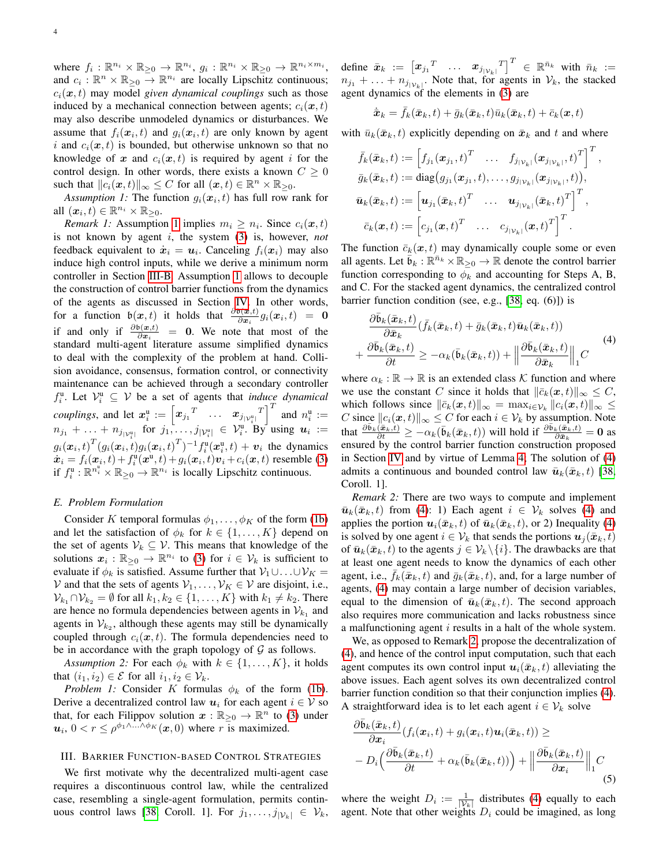where  $f_i: \mathbb{R}^{n_i} \times \mathbb{R}_{\geq 0} \to \mathbb{R}^{n_i}$ ,  $g_i: \mathbb{R}^{n_i} \times \mathbb{R}_{\geq 0} \to \mathbb{R}^{n_i \times m_i}$ , and  $c_i : \mathbb{R}^n \times \mathbb{R}_{\geq 0} \to \mathbb{R}^{n_i}$  are locally Lipschitz continuous;  $c_i(\mathbf{x}, t)$  may model *given dynamical couplings* such as those induced by a mechanical connection between agents;  $c_i(x, t)$ may also describe unmodeled dynamics or disturbances. We assume that  $f_i(\boldsymbol{x}_i, t)$  and  $g_i(\boldsymbol{x}_i, t)$  are only known by agent i and  $c_i(x, t)$  is bounded, but otherwise unknown so that no knowledge of x and  $c_i(x, t)$  is required by agent i for the control design. In other words, there exists a known  $C \geq 0$ such that  $||c_i(\boldsymbol{x}, t)||_{\infty} \leq C$  for all  $(\boldsymbol{x}, t) \in \mathbb{R}^n \times \mathbb{R}_{\geq 0}$ .

*Assumption 1:* The function  $g_i(\mathbf{x}_i, t)$  has full row rank for all  $(x_i, t) \in \mathbb{R}^{n_i} \times \mathbb{R}_{\geq 0}$ .

<span id="page-3-6"></span>*Remark [1](#page-3-1):* Assumption 1 implies  $m_i \geq n_i$ . Since  $c_i(\mathbf{x}, t)$ is not known by agent i, the system [\(3\)](#page-2-4) is, however, *not* feedback equivalent to  $\dot{x}_i = u_i$ . Canceling  $f_i(x_i)$  may also induce high control inputs, while we derive a minimum norm controller in Section [III-B.](#page-5-1) Assumption [1](#page-3-1) allows to decouple the construction of control barrier functions from the dynamics of the agents as discussed in Section [IV.](#page-5-0) In other words, for a function  $\mathfrak{b}(\mathbf{x},t)$  it holds that  $\frac{\partial \mathfrak{b}(\mathbf{x},t)}{\partial \mathbf{x}_i} g_i(\mathbf{x}_i,t) = \mathbf{0}$ if and only if  $\frac{\partial b(x,t)}{\partial x_i} = 0$ . We note that most of the standard multi-agent literature assume simplified dynamics to deal with the complexity of the problem at hand. Collision avoidance, consensus, formation control, or connectivity maintenance can be achieved through a secondary controller  $f_i^{\mathfrak{u}}$ . Let  $\mathcal{V}_i^{\mathfrak{u}} \subseteq \mathcal{V}$  be a set of agents that *induce dynamical* i *couplings*, and let  $x_i^u := \begin{bmatrix} x_{j1}^T & \cdots & x_{j|y_i^u|}^T \end{bmatrix}^T$  and  $n_i^u :=$  $n_{j_1} + \ldots + n_{j_{|\mathcal{V}_i^{\text{u}}|}}$  for  $j_1, \ldots, j_{|\mathcal{V}_i^{\text{u}}|} \in \mathcal{V}_i^{\text{u}}$ . By using  $u_i :=$  $g_i(\boldsymbol{x}_i, t)^T (g_i(\boldsymbol{x}_i, t) g_i(\boldsymbol{x}_i, t)^T)^{-1} f_i^{\text{u}}(\boldsymbol{x}_i^{\text{u}}, t) + \boldsymbol{v}_i$  the dynamics  $\dot{x}_i = f_i(\dot{x}_i, t) + f_i^{\text{u}}(\dot{x}^{\text{u}}, t) + g_i(\dot{x}_i, t)v_i + c_i(\dot{x}, t)$  resemble [\(3\)](#page-2-4) if  $f_i^{\mathfrak{u}}$  :  $\mathbb{R}^{n_i^{\mathfrak{u}}} \times \mathbb{R}_{\geq 0} \to \mathbb{R}^{n_i}$  is locally Lipschitz continuous.

#### *E. Problem Formulation*

Consider K temporal formulas  $\phi_1, \ldots, \phi_K$  of the form [\(1b\)](#page-2-1) and let the satisfaction of  $\phi_k$  for  $k \in \{1, ..., K\}$  depend on the set of agents  $V_k \subseteq V$ . This means that knowledge of the solutions  $x_i : \mathbb{R}_{\geq 0} \to \mathbb{R}^{n_i}$  to [\(3\)](#page-2-4) for  $i \in \mathcal{V}_k$  is sufficient to evaluate if  $\phi_k$  is satisfied. Assume further that  $V_1 \cup \ldots \cup V_K =$ V and that the sets of agents  $V_1, \ldots, V_K \in V$  are disjoint, i.e.,  $\mathcal{V}_{k_1} \cap \mathcal{V}_{k_2} = \emptyset$  for all  $k_1, k_2 \in \{1, \ldots, K\}$  with  $k_1 \neq k_2$ . There are hence no formula dependencies between agents in  $\mathcal{V}_{k_1}$  and agents in  $\mathcal{V}_{k_2}$ , although these agents may still be dynamically coupled through  $c_i(x, t)$ . The formula dependencies need to be in accordance with the graph topology of  $G$  as follows.

*Assumption 2:* For each  $\phi_k$  with  $k \in \{1, \ldots, K\}$ , it holds that  $(i_1, i_2) \in \mathcal{E}$  for all  $i_1, i_2 \in \mathcal{V}_k$ .

<span id="page-3-5"></span>*Problem 1:* Consider K formulas  $\phi_k$  of the form [\(1b\)](#page-2-1). Derive a decentralized control law  $u_i$  for each agent  $i \in V$  so that, for each Filippov solution  $x : \mathbb{R}_{\geq 0} \to \mathbb{R}^n$  to [\(3\)](#page-2-4) under  $u_i$ ,  $0 < r \le \rho^{\phi_1 \wedge \ldots \wedge \phi_K}(x,0)$  where r is maximized.

## <span id="page-3-0"></span>III. BARRIER FUNCTION-BASED CONTROL STRATEGIES

We first motivate why the decentralized multi-agent case requires a discontinuous control law, while the centralized case, resembling a single-agent formulation, permits contin-uous control laws [\[38,](#page-11-21) Coroll. 1]. For  $j_1, \ldots, j_{|\mathcal{V}_k|} \in \mathcal{V}_k$ , define  $\bar{x}_k$   $:=$   $\begin{bmatrix} x_{j_1}^T & \dots & x_{j_{|\mathcal{V}_k|}}^T \end{bmatrix}^T \in \mathbb{R}^{\bar{n}_k}$  with  $\bar{n}_k$   $:=$  $n_{j_1} + \ldots + n_{j|\mathcal{V}_k|}$ . Note that, for agents in  $\mathcal{V}_k$ , the stacked agent dynamics of the elements in [\(3\)](#page-2-4) are

$$
\dot{\bar{\pmb{x}}}_k = \bar{f}_k(\bar{\pmb{x}}_k,t) + \bar{g}_k(\bar{\pmb{x}}_k,t) \bar{u}_k(\bar{\pmb{x}}_k,t) + \bar{c}_k(\pmb{x},t)
$$

<span id="page-3-1"></span>with  $\bar{u}_k(\bar{x}_k, t)$  explicitly depending on  $\bar{x}_k$  and t and where

$$
\bar{f}_k(\bar{\boldsymbol{x}}_k,t) := \begin{bmatrix} f_{j_1}(\boldsymbol{x}_{j_1},t)^T & \dots & f_{j_{|\mathcal{V}_k|}}(\boldsymbol{x}_{j_{|\mathcal{V}_k|}},t)^T \end{bmatrix}^T,
$$
\n
$$
\bar{g}_k(\bar{\boldsymbol{x}}_k,t) := \text{diag}(g_{j_1}(\boldsymbol{x}_{j_1},t),\dots,g_{j_{|\mathcal{V}_k|}}(\boldsymbol{x}_{j_{|\mathcal{V}_k|}},t)),
$$
\n
$$
\bar{\boldsymbol{u}}_k(\bar{\boldsymbol{x}}_k,t) := \begin{bmatrix} \boldsymbol{u}_{j_1}(\bar{\boldsymbol{x}}_k,t)^T & \dots & \boldsymbol{u}_{j_{|\mathcal{V}_k|}}(\bar{\boldsymbol{x}}_k,t)^T \end{bmatrix}^T,
$$
\n
$$
\bar{c}_k(\boldsymbol{x},t) := \begin{bmatrix} c_{j_1}(\boldsymbol{x},t)^T & \dots & c_{j_{|\mathcal{V}_k|}}(\boldsymbol{x},t)^T \end{bmatrix}^T.
$$

The function  $\bar{c}_k(x, t)$  may dynamically couple some or even all agents. Let  $\overline{\mathfrak{b}}_k : \mathbb{R}^{\overline{n}_k} \times \mathbb{R}_{\geq 0} \to \mathbb{R}$  denote the control barrier function corresponding to  $\phi_k$  and accounting for Steps A, B, and C. For the stacked agent dynamics, the centralized control barrier function condition (see, e.g., [\[38,](#page-11-21) eq. (6)]) is

<span id="page-3-2"></span>
$$
\frac{\partial \bar{\mathfrak{b}}_k(\bar{\mathbf{x}}_k, t)}{\partial \bar{\mathbf{x}}_k} (\bar{f}_k(\bar{\mathbf{x}}_k, t) + \bar{g}_k(\bar{\mathbf{x}}_k, t)\bar{\mathbf{u}}_k(\bar{\mathbf{x}}_k, t)) \n+ \frac{\partial \bar{\mathfrak{b}}_k(\bar{\mathbf{x}}_k, t)}{\partial t} \ge -\alpha_k(\bar{\mathfrak{b}}_k(\bar{\mathbf{x}}_k, t)) + \left\| \frac{\partial \bar{\mathfrak{b}}_k(\bar{\mathbf{x}}_k, t)}{\partial \bar{\mathbf{x}}_k} \right\|_1 C
$$
\n(4)

where  $\alpha_k : \mathbb{R} \to \mathbb{R}$  is an extended class K function and where we use the constant C since it holds that  $\|\bar{c}_k(x, t)\|_{\infty} \leq C$ , which follows since  $\|\bar{c}_k(\bm{x},t)\|_{\infty} = \max_{i \in \mathcal{V}_k} \|c_i(\bm{x},t)\|_{\infty} \leq$ C since  $||c_i(x, t)||_{\infty} \leq C$  for each  $i \in \mathcal{V}_k$  by assumption. Note that  $\frac{\partial \bar{b}_k(\bar{x}_k,t)}{\partial t} \geq -\alpha_k(\bar{b}_k(\bar{x}_k,t))$  will hold if  $\frac{\partial \bar{b}_k(\bar{x}_k,t)}{\partial \bar{x}_k} = 0$  as ensured by the control barrier function construction proposed in Section [IV](#page-5-0) and by virtue of Lemma [4;](#page-7-1) The solution of [\(4\)](#page-3-2) admits a continuous and bounded control law  $\bar{u}_k(\bar{x}_k, t)$  [\[38,](#page-11-21) Coroll. 1].

<span id="page-3-3"></span>*Remark 2:* There are two ways to compute and implement  $\bar{u}_k(\bar{x}_k, t)$  from [\(4\)](#page-3-2): 1) Each agent  $i \in \mathcal{V}_k$  solves (4) and applies the portion  $u_i(\bar{x}_k, t)$  of  $\bar{u}_k(\bar{x}_k, t)$ , or 2) Inequality [\(4\)](#page-3-2) is solved by one agent  $i \in \mathcal{V}_k$  that sends the portions  $u_i(\bar{x}_k, t)$ of  $\bar{u}_k(\bar{x}_k, t)$  to the agents  $j \in V_k \setminus \{i\}$ . The drawbacks are that at least one agent needs to know the dynamics of each other agent, i.e.,  $\bar{f}_k(\bar{x}_k, t)$  and  $\bar{g}_k(\bar{x}_k, t)$ , and, for a large number of agents, [\(4\)](#page-3-2) may contain a large number of decision variables, equal to the dimension of  $\bar{u}_k(\bar{x}_k, t)$ . The second approach also requires more communication and lacks robustness since a malfunctioning agent i results in a halt of the whole system.

We, as opposed to Remark [2,](#page-3-3) propose the decentralization of [\(4\)](#page-3-2), and hence of the control input computation, such that each agent computes its own control input  $u_i(\bar{x}_k, t)$  alleviating the above issues. Each agent solves its own decentralized control barrier function condition so that their conjunction implies [\(4\)](#page-3-2). A straightforward idea is to let each agent  $i \in \mathcal{V}_k$  solve

<span id="page-3-4"></span>
$$
\frac{\partial \bar{\mathfrak{b}}_k(\bar{\boldsymbol{x}}_k,t)}{\partial \boldsymbol{x}_i} (f_i(\boldsymbol{x}_i,t) + g_i(\boldsymbol{x}_i,t)\boldsymbol{u}_i(\bar{\boldsymbol{x}}_k,t)) \geq -D_i\Big(\frac{\partial \bar{\mathfrak{b}}_k(\bar{\boldsymbol{x}}_k,t)}{\partial t} + \alpha_k(\bar{\mathfrak{b}}_k(\bar{\boldsymbol{x}}_k,t))\Big) + \Big\|\frac{\partial \bar{\mathfrak{b}}_k(\bar{\boldsymbol{x}}_k,t)}{\partial \boldsymbol{x}_i}\Big\|_1 C \tag{5}
$$

where the weight  $D_i := \frac{1}{|\mathcal{V}_k|}$  distributes [\(4\)](#page-3-2) equally to each agent. Note that other weights  $D_i$  could be imagined, as long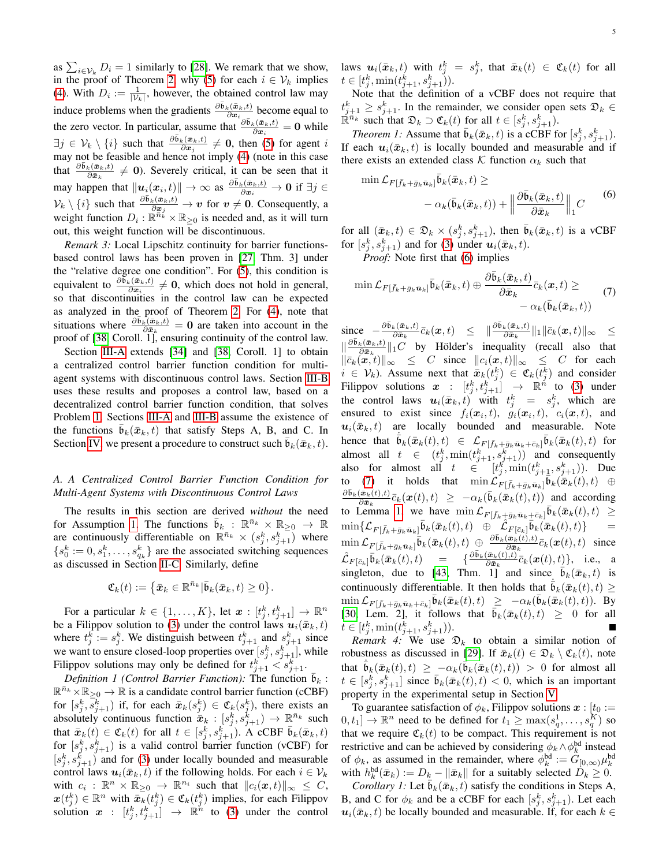as  $\sum_{i \in \mathcal{V}_k} D_i = 1$  similarly to [\[28\]](#page-11-11). We remark that we show, in the proof of Theorem [2,](#page-5-2) why [\(5\)](#page-3-4) for each  $i \in V_k$  implies [\(4\)](#page-3-2). With  $D_i := \frac{1}{|\mathcal{V}_k|}$ , however, the obtained control law may induce problems when the gradients  $\frac{\partial \bar{b}_k(x_k,t)}{\partial x_i}$  become equal to the zero vector. In particular, assume that  $\frac{\partial \bar{b}_k(\bar{x}_k,t)}{\partial x_i} = 0$  while  $\exists j \in \mathcal{V}_k \setminus \{i\}$  such that  $\frac{\partial \bar{b}_k(\bar{x}_k, t)}{\partial x_j} \neq 0$ , then [\(5\)](#page-3-4) for agent i may not be feasible and hence not imply [\(4\)](#page-3-2) (note in this case that  $\frac{\partial \bar{b}_k(\bar{x}_k,t)}{\partial \bar{x}_k} \neq 0$ ). Severely critical, it can be seen that it may happen that  $\|\boldsymbol{u}_i(\boldsymbol{x}_i, t)\| \to \infty$  as  $\frac{\partial \bar{b}_k(\bar{\boldsymbol{x}}_k, t)}{\partial \boldsymbol{x}_i} \to \boldsymbol{0}$  if  $\exists j \in$  $\mathcal{V}_k \setminus \{i\}$  such that  $\frac{\partial \bar{\mathfrak{b}}_k(\bar{\mathfrak{a}}_k,t)}{\partial \mathfrak{a}_j} \to v$  for  $v \neq 0$ . Consequently, a weight function  $D_i : \mathbb{R}^{\overline{n}_k} \times \mathbb{R}_{\geq 0}$  is needed and, as it will turn out, this weight function will be discontinuous.

*Remark 3:* Local Lipschitz continuity for barrier functionsbased control laws has been proven in [\[27,](#page-11-10) Thm. 3] under the "relative degree one condition". For [\(5\)](#page-3-4), this condition is equivalent to  $\frac{\partial \widetilde{b}_k(\bar{x}_k,t)}{\partial x_i} \neq 0$ , which does not hold in general, so that discontinuities in the control law can be expected as analyzed in the proof of Theorem [2.](#page-5-2) For [\(4\)](#page-3-2), note that situations where  $\frac{\partial \bar{b}_k(\bar{x}_k,t)}{\partial \bar{x}_k} = 0$  are taken into account in the proof of [\[38,](#page-11-21) Coroll. 1], ensuring continuity of the control law.

Section [III-A](#page-4-0) extends [\[34\]](#page-11-17) and [\[38,](#page-11-21) Coroll. 1] to obtain a centralized control barrier function condition for multiagent systems with discontinuous control laws. Section [III-B](#page-5-1) uses these results and proposes a control law, based on a decentralized control barrier function condition, that solves Problem [1.](#page-3-5) Sections [III-A](#page-4-0) and [III-B](#page-5-1) assume the existence of the functions  $\mathfrak{b}_k(\bar{x}_k, t)$  that satisfy Steps A, B, and C. In Section [IV,](#page-5-0) we present a procedure to construct such  $\bar{\mathbf{b}}_k(\bar{\mathbf{x}}_k, t)$ .

## <span id="page-4-0"></span>*A. A Centralized Control Barrier Function Condition for Multi-Agent Systems with Discontinuous Control Laws*

The results in this section are derived *without* the need for Assumption [1.](#page-3-1) The functions  $\bar{\mathfrak{b}}_k$  :  $\mathbb{R}^{\bar{n}_k} \times \mathbb{R}_{\geq 0} \to \mathbb{R}$ are continuously differentiable on  $\mathbb{R}^{\bar{n}_k} \times (s_j^k, s_{j+1}^k)$  where  ${s_0^k := 0, s_1^k, \ldots, s_{q_k}^k}$  are the associated switching sequences as discussed in Section [II-C.](#page-2-5) Similarly, define

$$
\mathfrak{C}_k(t) := \big\{\bar{\boldsymbol{x}}_k \in \mathbb{R}^{\bar{n}_k} |\bar{\mathfrak{b}}_k(\bar{\boldsymbol{x}}_k, t) \geq 0\big\}.
$$

For a particular  $k \in \{1, \ldots, K\}$ , let  $\boldsymbol{x} : [t_j^k, t_{j+1}^k] \to \mathbb{R}^n$ be a Filippov solution to [\(3\)](#page-2-4) under the control laws  $u_i(\bar{x}_k, t)$ where  $t_j^k := s_j^k$ . We distinguish between  $t_{j+1}^k$  and  $s_{j+1}^k$  since we want to ensure closed-loop properties over  $[s_j^k, s_{j+1}^k]$ , while Filippov solutions may only be defined for  $t_{j+1}^k < s_{j+1}^k$ .

*Definition 1 (Control Barrier Function):* The function  $\overline{b}_k$ :  $\mathbb{R}^{\bar{n}_k} \times \mathbb{R}_{\geq 0} \to \mathbb{R}$  is a candidate control barrier function (cCBF) for  $[s_j^k, \overline{s_{j+1}}^k)$  if, for each  $\overline{x}_k(s_j^k) \in \mathfrak{C}_k(s_j^k)$ , there exists an absolutely continuous function  $\bar{x}_k : [s_j^k, s_{j+1}^k] \to \mathbb{R}^{\bar{n}_k}$  such that  $\bar{x}_k(t) \in \mathfrak{C}_k(t)$  for all  $t \in [s_j^k, s_{j+1}^k)$ . A cCBF  $\bar{b}_k(\bar{x}_k, t)$ for  $[s_j^k, s_{j+1}^k)$  is a valid control barrier function (vCBF) for  $[s_j^k, s_{j+1}^k]$  and for [\(3\)](#page-2-4) under locally bounded and measurable control laws  $u_i(\bar{x}_k, t)$  if the following holds. For each  $i \in V_k$ with  $c_i : \mathbb{R}^n \times \mathbb{R}_{\geq 0} \to \mathbb{R}^{n_i}$  such that  $||c_i(x, t)||_{\infty} \leq C$ ,  $\mathbf{x}(t_j^k) \in \mathbb{R}^n$  with  $\bar{\mathbf{x}}_k(t_j^k) \in \mathfrak{C}_k(t_j^k)$  implies, for each Filippov solution  $x : [t_j^k, t_{j+1}^k] \rightarrow \mathbb{R}^n$  to [\(3\)](#page-2-4) under the control laws  $\bm{u}_i(\bar{\bm{x}}_k,t)$  with  $t_j^k\ =\ s_j^k,\ \text{that}\ \ \bar{\bm{x}}_k(t)\ \in\ \mathfrak{C}_k(t)\ \ \text{for all}$  $t \in [t_j^k, \min(t_{j+1}^k, s_{j+1}^k)).$ 

Note that the definition of a vCBF does not require that  $t_{j+1}^k \geq s_{j+1}^k$ . In the remainder, we consider open sets  $\mathfrak{D}_k \in$  $\mathbb{R}^{\overline{n}_k}$  such that  $\mathfrak{D}_k \supset \mathfrak{C}_k(t)$  for all  $t \in [s_j^k, s_{j+1}^k)$ .

<span id="page-4-3"></span>*Theorem 1:* Assume that  $\bar{b}_k(\bar{x}_k, t)$  is a cCBF for  $[s_j^k, s_{j+1}^k)$ . If each  $u_i(\bar{x}_k, t)$  is locally bounded and measurable and if there exists an extended class  $K$  function  $\alpha_k$  such that

<span id="page-4-1"></span>
$$
\min \mathcal{L}_{F[\bar{f}_k + \bar{g}_k \bar{\mathbf{u}}_k]} \bar{\mathbf{b}}_k(\bar{\mathbf{x}}_k, t) \ge
$$

$$
- \alpha_k(\bar{\mathbf{b}}_k(\bar{\mathbf{x}}_k, t)) + \left\| \frac{\partial \bar{\mathbf{b}}_k(\bar{\mathbf{x}}_k, t)}{\partial \bar{\mathbf{x}}_k} \right\|_1 C
$$
(6)

for all  $(\bar{x}_k, t) \in \mathfrak{D}_k \times (s_j^k, s_{j+1}^k)$ , then  $\bar{\mathfrak{b}}_k(\bar{x}_k, t)$  is a vCBF for  $[s_j^k, s_{j+1}^k)$  and for [\(3\)](#page-2-4) under  $u_i(\bar{x}_k, t)$ .

<span id="page-4-2"></span>*Proof:* Note first that [\(6\)](#page-4-1) implies

$$
\min \mathcal{L}_{F[\bar{f}_k + \bar{g}_k \bar{\mathbf{u}}_k]} \bar{\mathfrak{b}}_k(\bar{\mathbf{x}}_k, t) \oplus \frac{\partial \bar{\mathfrak{b}}_k(\bar{\mathbf{x}}_k, t)}{\partial \bar{\mathbf{x}}_k} \bar{c}_k(\mathbf{x}, t) \geq -\alpha_k(\bar{\mathfrak{b}}_k(\bar{\mathbf{x}}_k, t))
$$
(7)

since  $-\frac{\partial \bar{\mathfrak{b}}_k(\bar{\boldsymbol{x}}_k,t)}{\partial \bar{\boldsymbol{x}}_k}$  $\frac{\partial \bar{\mathbf{c}}_k(\bar{\boldsymbol{x}}_k,t)}{\partial \bar{\boldsymbol{x}}_k} \bar{c}_k(\boldsymbol{x},t) \;\;\; \leq \;\; \|\frac{\partial \bar{\mathbf{b}}_k(\bar{\boldsymbol{x}}_k,t)}{\partial \bar{\boldsymbol{x}}_k}\|_1 \|\bar{c}_k(\boldsymbol{x},t)\|_\infty \;\;\; \leq$  $\|\frac{\partial \bar{\mathfrak{b}}_k(\bar{\boldsymbol{x}}_k,t)}{\partial \bar{\boldsymbol{x}}_k}$  $\frac{\partial k(x_k,t)}{\partial \bar{x}_k}$  ||1 $C$  by Hölder's inequality (recall also that  $\|\bar{c}_k(\tilde{x}, t)\|_{\infty} \leq C$  since  $\|c_i(x, t)\|_{\infty} \leq C$  for each  $i \in \mathcal{V}_k$ ). Assume next that  $\bar{x}_k(t_j^k) \in \mathfrak{C}_k(t_j^k)$  and consider Filippov solutions  $x : [t_j^k, t_{j+1}^k] \rightarrow \mathbb{R}^n$  to [\(3\)](#page-2-4) under the control laws  $u_i(\bar{x}_k, t)$  with  $t_j^k = s_j^k$ , which are ensured to exist since  $f_i(x_i, t)$ ,  $g_i(x_i, t)$ ,  $c_i(x, t)$ , and  $u_i(\bar{x}_k, t)$  are locally bounded and measurable. Note hence that  $\dot{\bar{b}}_k(\bar{x}_k(t), t) \in \mathcal{L}_{F[\bar{f}_k + \bar{g}_k \bar{\mathbf{u}}_k + \bar{c}_k]} \bar{b}_k(\bar{x}_k(t), t)$  for almost all  $t \in (t_j^k, \min(t_{j+1}^k, s_{j+1}^k))$  and consequently also for almost all  $t \in [t_j^k, \min(t_{j+1}^k, s_{j+1}^k))$ . Due to [\(7\)](#page-4-2) it holds that  $\min \mathcal{L}_{F[\bar{f}_k+\bar{g}_k\bar{\mathbf{u}}_k]}^{\mathcal{L}_{\text{max}}} \overrightarrow{\mathbf{b}}_k(\overrightarrow{\mathbf{x}}_k(t), t)$   $\oplus$  $\partial \bar{\mathfrak{b}}_k(\bar{\boldsymbol{x}}_k(t),t)$  $\frac{(\bar{\bm{x}}_k(t),t)}{\partial \bar{\bm{x}}_k} \bar{c}_k(\bm{x}(t),t) \geq -\alpha_k(\bar{\bm{b}}_k(\bar{\bm{x}}_k(t),t))$  and according to Lemma [1,](#page-1-1) we have  $\min \mathcal{L}_{F[\bar{f}_k + \bar{g}_k \bar{\mathbf{u}}_k + \bar{c}_k]} \bar{\mathbf{b}}_k(\bar{\mathbf{x}}_k(t), t) \geq$  $\min\{\mathcal{L}_{F[\bar{f}_k+\bar{g}_k\bar{\bm{u}}_k]}\bar{\bm{b}}_k(\bar{\bm{x}}_k(t),t)\;\;\oplus\;\widetilde{\mathcal{L}}_{F[\bar{c}_k]}\bar{\bm{b}}_k(\bar{\bm{x}}_k(t),t)\}\quad \;\;=$  $\min\mathcal{L}_{F[\bar{f}_k+\bar{g}_k\bar{\bm{u}}_k]}\bar{\bm{b}}_k(\bar{\bm{x}}_k(t),t) \ \oplus \ \frac{\partial \bar{\bm{b}}_k(\bar{\bm{x}}_k(t),t)}{\partial \bar{\bm{x}}_k}$  $\frac{(\boldsymbol{x}_k(t),t)}{\partial \bar{\boldsymbol{x}}_k} \bar{c}_k(\boldsymbol{x}(t),t)$  since  $\hat{\mathcal{L}}_{F[\bar{c}_k]}$  $\overline{\mathfrak{b}}_k(\bar{\boldsymbol{x}}_k(t),t)$  =  $\{\frac{\partial \bar{\mathfrak{b}}_k(\bar{\boldsymbol{x}}_k(t),t)}{\partial \bar{\boldsymbol{x}}_k}$  $\frac{(\boldsymbol{x}_k(t),t)}{\partial \bar{\boldsymbol{x}}_k} \bar{c}_k(\boldsymbol{x}(t),t)$ , i.e., a singleton, due to [\[43,](#page-11-26) Thm. 1] and since  $\bar{b}_k(\bar{x}_k, t)$  is continuously differentiable. It then holds that  $\dot{\bar{b}}_k(\bar{x}_k(t), t) \geq$  $\min \mathcal{L}_{F[\bar{f}_k+\bar{g}_k\bar{\bm{u}}_k+\bar{c}_k]}\bar{\mathfrak{b}}_k(\bar{\bm{x}}_k(t),t) \ \geq \ -\alpha_k(\bar{\mathfrak{b}}_k(\bar{\bm{x}}_k(t),t)).$  By [\[30,](#page-11-13) Lem. 2], it follows that  $\bar{b}_k(\bar{x}_k(t), t) \geq 0$  for all  $t \in [t_j^k, \min(t_{j+1}^k, s_{j+1}^k)).$ 

<span id="page-4-5"></span>*Remark 4:* We use  $\mathfrak{D}_k$  to obtain a similar notion of robustness as discussed in [\[29\]](#page-11-12). If  $\bar{x}_k(t) \in \mathfrak{D}_k \setminus \mathfrak{C}_k(t)$ , note that  $\dot{\bar{b}}_k(\bar{x}_k(t), t) \geq -\alpha_k(\bar{b}_k(\bar{x}_k(t), t)) > 0$  for almost all  $t \in [s_j^{\overline{k}}, s_{j+1}^{\overline{k}}]$  since  $\overline{b}_k(\overline{x}_k(t), t) < 0$ , which is an important property in the experimental setup in Section [V.](#page-7-0)

To guarantee satisfaction of  $\phi_k$ , Filippov solutions  $\boldsymbol{x}$  :  $[t_0 :=$  $[0, t_1] \to \mathbb{R}^n$  need to be defined for  $t_1 \ge \max(s_q^1, \dots, s_q^K)$  so that we require  $\mathfrak{C}_k(t)$  to be compact. This requirement is not restrictive and can be achieved by considering  $\phi_k \wedge \phi_k^{\text{bd}}$  instead of  $\phi_k$ , as assumed in the remainder, where  $\phi_k^{\text{bd}} := G_{[0,\infty)} \mu_k^{\text{bd}}$ with  $h_k^{\text{bd}}(\bar{x}_k) := D_k - ||\bar{x}_k||$  for a suitably selected  $D_k \geq 0$ .

<span id="page-4-4"></span>*Corollary 1:* Let  $\mathfrak{b}_k(\bar{\boldsymbol{x}}_k, t)$  satisfy the conditions in Steps A, B, and C for  $\phi_k$  and be a cCBF for each  $[s_j^k, s_{j+1}^k)$ . Let each  $u_i(\bar{x}_k, t)$  be locally bounded and measurable. If, for each  $k \in$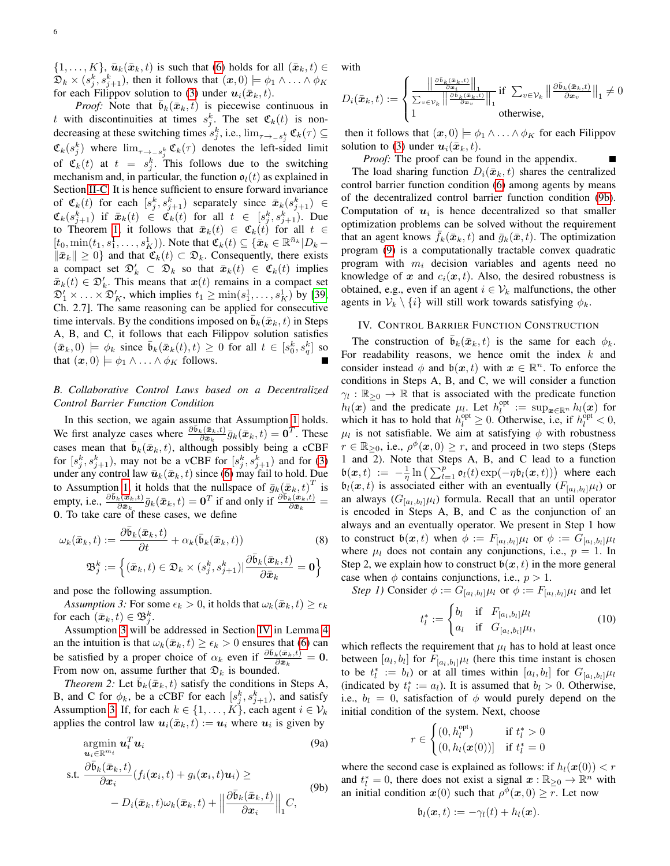$\{1,\ldots,K\},\bar{\mathbf{u}}_k(\bar{\mathbf{x}}_k,t)$  is such that [\(6\)](#page-4-1) holds for all  $(\bar{\mathbf{x}}_k,t)\in$  $\mathfrak{D}_k \times (s_j^k, s_{j+1}^k)$ , then it follows that  $(\bm{x}, 0) \models \phi_1 \wedge \ldots \wedge \phi_K$ for each Filippov solution to [\(3\)](#page-2-4) under  $u_i(\bar{x}_k, t)$ .

*Proof:* Note that  $\bar{b}_k(\bar{x}_k, t)$  is piecewise continuous in t with discontinuities at times  $s_j^k$ . The set  $\mathfrak{C}_k(t)$  is nondecreasing at these switching times  $s_j^k$ , i.e.,  $\lim_{\tau \to -s_j^k} \mathfrak{C}_k(\tau) \subseteq$  $\mathfrak{C}_k(s_j^k)$  where  $\lim_{\tau \to -s_j^k} \mathfrak{C}_k(\tau)$  denotes the left-sided limit of  $\mathfrak{C}_k(t)$  at  $t = s_j^k$ . This follows due to the switching mechanism and, in particular, the function  $\mathfrak{o}_l(t)$  as explained in Section [II-C.](#page-2-5) It is hence sufficient to ensure forward invariance of  $\mathfrak{C}_k(t)$  for each  $[s_j^k, s_{j+1}^k)$  separately since  $\bar{\mathbf{x}}_k(s_{j+1}^k) \in$  $\mathfrak{C}_k(s_{j+1}^k)$  if  $\bar{\mathfrak{\textbf{x}}}_k(t) \in \tilde{\mathfrak{C}}_k(t)$  for all  $t \in [s_j^k, s_{j+1}^k)$ . Due to Theorem [1,](#page-4-3) it follows that  $\bar{x}_k(t) \in \mathfrak{C}_k(t)$  for all  $t \in$  $[t_0, \min(t_1, s_1^1, \dots, s_K^1))$ . Note that  $\mathfrak{C}_k(t) \subseteq {\overline{\mathfrak{X}}_k \in \mathbb{R}^{\bar{n}_k}} \mid D_k$  $\|\bar{\boldsymbol{x}}_k\| \geq 0$  and that  $\mathfrak{C}_k(t) \subset \mathfrak{D}_k$ . Consequently, there exists a compact set  $\mathfrak{D}'_k \subset \mathfrak{D}_k$  so that  $\bar{x}_k(t) \in \mathfrak{C}_k(t)$  implies  $\bar{x}_k(t) \in \mathfrak{D}'_k$ . This means that  $x(t)$  remains in a compact set  $\mathfrak{D}'_1 \times \ldots \times \mathfrak{D}'_K$ , which implies  $t_1 \ge \min(s_1^1, \ldots, s_K^1)$  by [\[39,](#page-11-22) Ch. 2.7]. The same reasoning can be applied for consecutive time intervals. By the conditions imposed on  $\overline{b}_k(\overline{x}_k, t)$  in Steps A, B, and C, it follows that each Filippov solution satisfies  $(\bar{x}_k, 0) \models \phi_k$  since  $\bar{b}_k(\bar{x}_k(t), t) \geq 0$  for all  $t \in [s_0^k, s_q^k]$  so that  $(\boldsymbol{x}, 0) \models \phi_1 \wedge \ldots \wedge \phi_K$  follows.

## <span id="page-5-1"></span>*B. Collaborative Control Laws based on a Decentralized Control Barrier Function Condition*

In this section, we again assume that Assumption [1](#page-3-1) holds. We first analyze cases where  $\frac{\partial \bar{b}_k(\bar{x}_k,t)}{\partial \bar{x}_k} \bar{g}_k(\bar{x}_k,t) = \mathbf{0}^T$ . These cases mean that  $\bar{b}_k(\bar{x}_k, t)$ , although possibly being a cCBF for  $[s_j^k, s_{j+1}^k)$ , may not be a vCBF for  $[s_j^k, s_{j+1}^k)$  and for [\(3\)](#page-2-4) under any control law  $\bar{u}_k(\bar{x}_k, t)$  since [\(6\)](#page-4-1) may fail to hold. Due to Assumption [1,](#page-3-1) it holds that the nullspace of  $\bar{g}_k(\bar{x}_k, t)^T$  is empty, i.e.,  $\frac{\partial \bar{\mathfrak{b}}_k(\bar{\mathbf{x}}_k,t)}{\partial \bar{\mathbf{x}}_k} \bar{g}_k(\bar{\mathbf{x}}_k,t) = \mathbf{0}^T$  if and only if  $\frac{\partial \bar{\mathfrak{b}}_k(\bar{\mathbf{x}}_k,t)}{\partial \bar{\mathbf{x}}_k} =$ 0. To take care of these cases, we define

$$
\omega_k(\bar{x}_k, t) := \frac{\partial \bar{\mathfrak{b}}_k(\bar{x}_k, t)}{\partial t} + \alpha_k(\bar{\mathfrak{b}}_k(\bar{x}_k, t))
$$
(8)  

$$
\mathfrak{B}^k \cdot \left( (\bar{x}_k, t) \in \mathcal{D}_k \times (\mathcal{L}^k, \mathcal{L}^k) \right) \frac{\partial \bar{\mathfrak{b}}_k(\bar{x}_k, t)}{\partial t}
$$

$$
\mathfrak{B}_{j}^{k}:=\left\{(\bar{\boldsymbol{x}}_{k},t)\in\mathfrak{D}_{k}\times (s_{j}^{k},s_{j+1}^{k})|\frac{\partial \mathfrak{b}_{k}(\boldsymbol{x}_{k},t)}{\partial\bar{\boldsymbol{x}}_{k}}=\boldsymbol{0}\right\}
$$

and pose the following assumption.

<span id="page-5-3"></span>*Assumption 3:* For some  $\epsilon_k > 0$ , it holds that  $\omega_k(\bar{x}_k, t) \geq \epsilon_k$ for each  $(\bar{x}_k, t) \in \mathfrak{B}_j^k$ .

Assumption [3](#page-5-3) will be addressed in Section [IV](#page-5-0) in Lemma [4](#page-7-1) an the intuition is that  $\omega_k(\bar{x}_k, t) \geq \epsilon_k > 0$  ensures that [\(6\)](#page-4-1) can be satisfied by a proper choice of  $\alpha_k$  even if  $\frac{\partial \bar{b}_k(\bar{x}_k,t)}{\partial \bar{x}_k} = 0$ . From now on, assume further that  $\mathfrak{D}_k$  is bounded.

*Theorem 2:* Let  $\bar{\mathbf{b}}_k(\bar{\mathbf{x}}_k, t)$  satisfy the conditions in Steps A, B, and C for  $\phi_k$ , be a cCBF for each  $[s_j^k, s_{j+1}^k)$ , and satisfy Assumption [3.](#page-5-3) If, for each  $k \in \{1, \ldots, K\}$ , each agent  $i \in V_k$ applies the control law  $u_i(\bar{x}_k, t) := u_i$  where  $u_i$  is given by

$$
\underset{\mathbf{u}_{i} \in \mathbb{R}^{m_{i}}}{\operatorname{argmin}} \mathbf{u}_{i}^{T} \mathbf{u}_{i}
$$
\n
$$
\text{s.t. } \frac{\partial \bar{\mathbf{b}}_{k}(\bar{\mathbf{x}}_{k}, t)}{\partial \mathbf{x}_{i}} (f_{i}(\mathbf{x}_{i}, t) + g_{i}(\mathbf{x}_{i}, t)\mathbf{u}_{i}) \geq
$$
\n
$$
- D_{i}(\bar{\mathbf{x}}_{k}, t) \omega_{k}(\bar{\mathbf{x}}_{k}, t) + \left\| \frac{\partial \bar{\mathbf{b}}_{k}(\bar{\mathbf{x}}_{k}, t)}{\partial \mathbf{x}_{i}} \right\|_{1} C,
$$
\n(9b)

with

$$
D_i(\bar{\boldsymbol{x}}_k, t) := \begin{cases} \frac{\left\| \frac{\partial \bar{\mathfrak{b}}_k(\bar{\boldsymbol{x}}_k, t)}{\partial \bar{\boldsymbol{x}}_i} \right\|_1}{\sum_{v \in \mathcal{V}_k} \left\| \frac{\partial \bar{\mathfrak{b}}_k(\bar{\boldsymbol{x}}_k, t)}{\partial \bar{\boldsymbol{x}}_v} \right\|_1} \text{if } \sum_{v \in \mathcal{V}_k} \left\| \frac{\partial \bar{\mathfrak{b}}_k(\bar{\boldsymbol{x}}_k, t)}{\partial \bar{\boldsymbol{x}}_v} \right\|_1 \neq 0\\ 1 \qquad \qquad \text{otherwise,} \end{cases}
$$

then it follows that  $(x, 0) \models \phi_1 \land ... \land \phi_K$  for each Filippov solution to [\(3\)](#page-2-4) under  $u_i(\bar{x}_k, t)$ .

*Proof:* The proof can be found in the appendix. The load sharing function  $D_i(\bar{x}_k, t)$  shares the centralized control barrier function condition [\(6\)](#page-4-1) among agents by means of the decentralized control barrier function condition [\(9b\)](#page-5-4). Computation of  $u_i$  is hence decentralized so that smaller optimization problems can be solved without the requirement that an agent knows  $f_k(\bar{x}_k, t)$  and  $\bar{g}_k(\bar{x}, t)$ . The optimization program [\(9\)](#page-5-5) is a computationally tractable convex quadratic program with  $m_i$  decision variables and agents need no knowledge of x and  $c_i(x, t)$ . Also, the desired robustness is obtained, e.g., even if an agent  $i \in \mathcal{V}_k$  malfunctions, the other agents in  $V_k \setminus \{i\}$  will still work towards satisfying  $\phi_k$ .

## <span id="page-5-0"></span>IV. CONTROL BARRIER FUNCTION CONSTRUCTION

The construction of  $\bar{b}_k(\bar{x}_k, t)$  is the same for each  $\phi_k$ . For readability reasons, we hence omit the index  $k$  and consider instead  $\phi$  and  $\mathfrak{b}(\mathbf{x},t)$  with  $\mathbf{x} \in \mathbb{R}^n$ . To enforce the conditions in Steps A, B, and C, we will consider a function  $\gamma_l : \mathbb{R}_{\geq 0} \to \mathbb{R}$  that is associated with the predicate function  $h_l(x)$  and the predicate  $\mu_l$ . Let  $h_l^{opt} := \sup_{x \in \mathbb{R}^n} h_l(x)$  for which it has to hold that  $h_l^{\text{opt}} \ge 0$ . Otherwise, i.e, if  $h_l^{\text{opt}} < 0$ ,  $\mu_l$  is not satisfiable. We aim at satisfying  $\phi$  with robustness  $r \in \mathbb{R}_{\geq 0}$ , i.e.,  $\rho^{\phi}(\mathbf{x},0) \geq r$ , and proceed in two steps (Steps 1 and 2). Note that Steps A, B, and C lead to a function  $\mathfrak{b}(\boldsymbol{x},t) := -\frac{1}{\eta} \ln \left( \sum_{l=1}^p \mathfrak{o}_l(t) \exp(-\eta \mathfrak{b}_l(\boldsymbol{x},t)) \right)$  where each  $\mathfrak{b}_l(\boldsymbol{x}, t)$  is associated either with an eventually  $(F_{[a_l,b_l]}\mu_l)$  or an always  $(G_{[a_l,b_l]}\mu_l)$  formula. Recall that an until operator is encoded in Steps A, B, and C as the conjunction of an always and an eventually operator. We present in Step 1 how to construct  $\mathfrak{b}(\boldsymbol{x},t)$  when  $\phi := F_{[a_l,b_l]}\mu_l$  or  $\phi := G_{[a_l,b_l]}\mu_l$ where  $\mu_l$  does not contain any conjunctions, i.e.,  $p = 1$ . In Step 2, we explain how to construct  $b(x, t)$  in the more general case when  $\phi$  contains conjunctions, i.e.,  $p > 1$ .

<span id="page-5-7"></span>*Step 1)* Consider  $\phi := G_{[a_l,b_l]}\mu_l$  or  $\phi := F_{[a_l,b_l]}\mu_l$  and let

<span id="page-5-6"></span>
$$
t_l^* := \begin{cases} b_l & \text{if} \quad F_{[a_l, b_l]} \mu_l \\ a_l & \text{if} \quad G_{[a_l, b_l]} \mu_l, \end{cases} \tag{10}
$$

<span id="page-5-2"></span>which reflects the requirement that  $\mu_l$  has to hold at least once between  $[a_l, b_l]$  for  $F_{[a_l, b_l]} \mu_l$  (here this time instant is chosen to be  $t_l^* := b_l$  or at all times within  $[a_l, b_l]$  for  $G_{[a_l, b_l]} \mu_l$ (indicated by  $t_l^* := a_l$ ). It is assumed that  $b_l > 0$ . Otherwise, i.e.,  $b_l = 0$ , satisfaction of  $\phi$  would purely depend on the initial condition of the system. Next, choose

$$
r \in \begin{cases} (0, h_l^{\text{opt}}) & \text{if } t_l^* > 0\\ (0, h_l(\boldsymbol{x}(0))] & \text{if } t_l^* = 0 \end{cases}
$$

<span id="page-5-5"></span><span id="page-5-4"></span>where the second case is explained as follows: if  $h_l(\boldsymbol{x}(0)) < r$ and  $t_l^* = 0$ , there does not exist a signal  $\mathbf{x} : \mathbb{R}_{\geq 0} \to \mathbb{R}^n$  with an initial condition  $x(0)$  such that  $\rho^{\phi}(x, 0) \geq r$ . Let now

$$
\mathfrak{b}_l(\boldsymbol{x},t):=-\gamma_l(t)+h_l(\boldsymbol{x}).
$$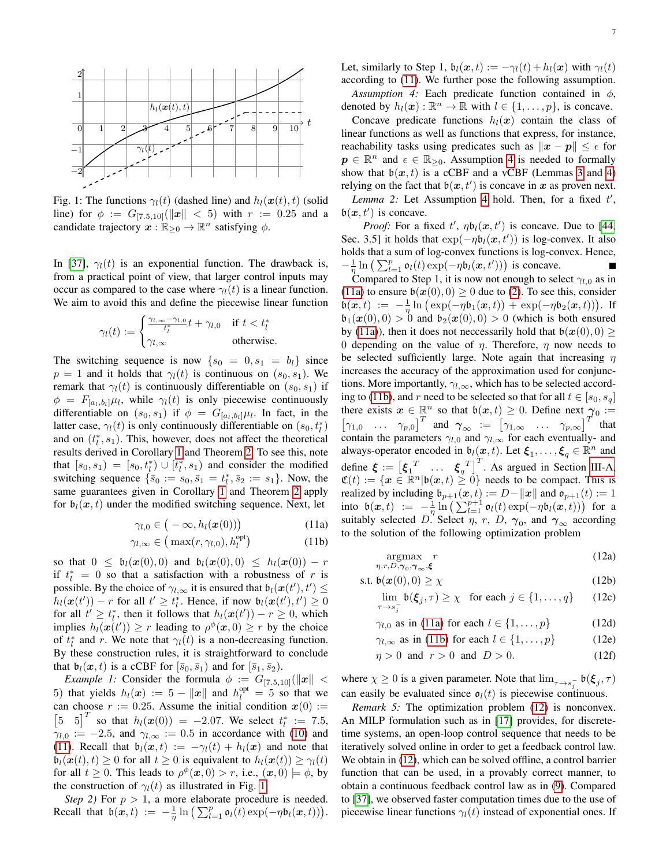<span id="page-6-1"></span>

Fig. 1: The functions  $\gamma_l(t)$  (dashed line) and  $h_l(\boldsymbol{x}(t), t)$  (solid line) for  $\phi := G_{[7,5,10]}(\Vert x \Vert < 5)$  with  $r := 0.25$  and a candidate trajectory  $x : \mathbb{R}_{\geq 0} \to \mathbb{R}^n$  satisfying  $\phi$ .

In [\[37\]](#page-11-20),  $\gamma_l(t)$  is an exponential function. The drawback is, from a practical point of view, that larger control inputs may occur as compared to the case where  $\gamma_l(t)$  is a linear function. We aim to avoid this and define the piecewise linear function

$$
\gamma_l(t) := \begin{cases} \frac{\gamma_{l,\infty} - \gamma_{l,0}}{t_l^*} t + \gamma_{l,0} & \text{if } t < t_l^*\\ \gamma_{l,\infty} & \text{otherwise.} \end{cases}
$$

The switching sequence is now  $\{s_0 = 0, s_1 = b_l\}$  since  $p = 1$  and it holds that  $\gamma_l(t)$  is continuous on  $(s_0, s_1)$ . We remark that  $\gamma_l(t)$  is continuously differentiable on  $(s_0, s_1)$  if  $\phi = F_{[a_l, b_l]} \mu_l$ , while  $\gamma_l(t)$  is only piecewise continuously differentiable on  $(s_0, s_1)$  if  $\phi = G_{[a_l, b_l]} \mu_l$ . In fact, in the latter case,  $\gamma_l(t)$  is only continuously differentiable on  $(s_0, t_l^*)$ and on  $(t_1^*, s_1)$ . This, however, does not affect the theoretical results derived in Corollary [1](#page-4-4) and Theorem [2.](#page-5-2) To see this, note that  $[s_0, s_1) = [s_0, t_1^*) \cup [t_1^*, s_1]$  and consider the modified switching sequence  $\{\bar{s}_0 := s_0, \bar{s}_1 = t_1^*, \bar{s}_2 := s_1\}$ . Now, the same guarantees given in Corollary [1](#page-4-4) and Theorem [2](#page-5-2) apply for  $\mathfrak{b}_l(\mathbf{x}, t)$  under the modified switching sequence. Next, let

$$
\gamma_{l,0} \in (-\infty, h_l(\boldsymbol{x}(0))) \tag{11a}
$$

$$
\gamma_{l,\infty} \in \left(\max(r,\gamma_{l,0}), h_l^{\text{opt}}\right) \tag{11b}
$$

so that  $0 \leq b_l(\boldsymbol{x}(0), 0)$  and  $b_l(\boldsymbol{x}(0), 0) \leq h_l(\boldsymbol{x}(0)) - r$ if  $t_l^* = 0$  so that a satisfaction with a robustness of r is possible. By the choice of  $\gamma_{l,\infty}$  it is ensured that  $\mathfrak{b}_l(\mathfrak{\boldsymbol{x}}(t'),t') \leq$  $h_l(\boldsymbol{x}(t')) - r$  for all  $t' \geq t_l^*$ . Hence, if now  $\mathfrak{b}_l(\boldsymbol{x}(t'), t') \geq 0$ for all  $t' \geq t_l^*$ , then it follows that  $h_l(\boldsymbol{x}(t')) - r \geq 0$ , which implies  $h_l(\mathbf{x}(t')) \geq r$  leading to  $\rho^{\phi}(\mathbf{x},0) \geq r$  by the choice of  $t_l^*$  and r. We note that  $\gamma_l(t)$  is a non-decreasing function. By these construction rules, it is straightforward to conclude that  $\mathfrak{b}_l(\mathbf{x}, t)$  is a cCBF for  $[\bar{s}_0, \bar{s}_1)$  and for  $[\bar{s}_1, \bar{s}_2)$ .

*Example 1:* Consider the formula  $\phi := G_{[7.5,10]}(\Vert \mathbf{x} \Vert <$ 5) that yields  $h_l(x) := 5 - ||x||$  and  $h_l^{opt} = 5$  so that we can choose  $r := 0.25$ . Assume the initial condition  $x(0) :=$  $\begin{bmatrix} 5 & 5 \end{bmatrix}^T$  so that  $h_l(\bm{x}(0)) = -2.07$ . We select  $t_l^* := 7.5$ ,  $\gamma_{l,0} := -2.5$ , and  $\gamma_{l,\infty} := 0.5$  in accordance with [\(10\)](#page-5-6) and [\(11\)](#page-6-0). Recall that  $b_l(x, t) := -\gamma_l(t) + h_l(x)$  and note that  $\mathfrak{b}_l(\boldsymbol{x}(t), t) \geq 0$  for all  $t \geq 0$  is equivalent to  $h_l(\boldsymbol{x}(t)) \geq \gamma_l(t)$ for all  $t \geq 0$ . This leads to  $\rho^{\phi}(\boldsymbol{x},0) > r$ , i.e.,  $(\boldsymbol{x},0) \models \phi$ , by the construction of  $\gamma_l(t)$  as illustrated in Fig. [1.](#page-6-1)

*Step 2)* For  $p > 1$ , a more elaborate procedure is needed. Recall that  $\mathfrak{b}(\mathbf{x},t) := -\frac{1}{\eta} \ln \left( \sum_{l=1}^p \mathfrak{o}_l(t) \exp(-\eta \mathfrak{b}_l(\mathbf{x},t)) \right).$  <span id="page-6-2"></span>Let, similarly to Step 1,  $b_l(x, t) := -\gamma_l(t) + h_l(x)$  with  $\gamma_l(t)$ according to [\(11\)](#page-6-0). We further pose the following assumption. *Assumption 4:* Each predicate function contained in  $\phi$ ,

denoted by  $h_l(\boldsymbol{x}) : \mathbb{R}^n \to \mathbb{R}$  with  $l \in \{1, \ldots, p\}$ , is concave. Concave predicate functions  $h_l(x)$  contain the class of linear functions as well as functions that express, for instance, reachability tasks using predicates such as  $||x - p|| \leq \epsilon$  for  $p \in \mathbb{R}^n$  and  $\epsilon \in \mathbb{R}_{\geq 0}$ . Assumption [4](#page-6-2) is needed to formally show that  $b(x, t)$  is a cCBF and a vCBF (Lemmas [3](#page-7-2) and [4\)](#page-7-1) relying on the fact that  $b(x, t')$  is concave in x as proven next.

Lemma 2: Let Assumption [4](#page-6-2) hold. Then, for a fixed  $t'$ ,  $\mathfrak{b}(\boldsymbol{x},t')$  is concave.

*Proof:* For a fixed  $t'$ ,  $\eta b_l(\mathbf{x}, t')$  is concave. Due to [\[44,](#page-11-27) Sec. 3.5] it holds that  $exp(-\eta b_l(\boldsymbol{x}, t'))$  is log-convex. It also holds that a sum of log-convex functions is log-convex. Hence,  $-\frac{1}{\eta} \ln \left( \sum_{l=1}^p \mathfrak{o}_l(t) \exp(-\eta \mathfrak{b}_l(\boldsymbol{x},t')) \right)$  is concave.  $\blacksquare$ 

Compared to Step 1, it is now not enough to select  $\gamma_{l,0}$  as in [\(11a\)](#page-6-3) to ensure  $\mathfrak{b}(\mathbf{x}(0),0) \ge 0$  due to [\(2\)](#page-2-3). To see this, consider  $\mathfrak{b}(\boldsymbol{x},t) := -\frac{1}{\eta} \ln \big( \exp(-\eta \mathfrak{b}_1(\boldsymbol{x},t)) + \exp(-\eta \mathfrak{b}_2(\boldsymbol{x},t)) \big).$  If  $\mathfrak{b}_1(\mathbf{x}(0), 0) > 0$  and  $\mathfrak{b}_2(\mathbf{x}(0), 0) > 0$  (which is both ensured by [\(11a\)](#page-6-3)), then it does not neccessarily hold that  $\mathfrak{b}(\mathfrak{x}(0),0) \geq$ 0 depending on the value of  $\eta$ . Therefore,  $\eta$  now needs to be selected sufficiently large. Note again that increasing  $\eta$ increases the accuracy of the approximation used for conjunctions. More importantly,  $\gamma_{l,\infty}$ , which has to be selected accord-ing to [\(11b\)](#page-6-4), and r need to be selected so that for all  $t \in [s_0, s_q]$ there exists  $x \in \mathbb{R}^n$  so that  $b(x,t) \geq 0$ . Define next  $\gamma_0 :=$  $\begin{bmatrix} \gamma_{1,0} & \dots & \gamma_{p,0} \end{bmatrix}^T$  and  $\gamma_{\infty} := \begin{bmatrix} \gamma_{1,\infty} & \dots & \gamma_{p,\infty} \end{bmatrix}^T$  that contain the parameters  $\gamma_{l,0}$  and  $\gamma_{l,\infty}$  for each eventually- and always-operator encoded in  $\mathfrak{b}_l(\mathbf{x},t)$ . Let  $\xi_1,\ldots,\xi_q \in \mathbb{R}^n$  and define  $\boldsymbol{\xi} := \begin{bmatrix} \boldsymbol{\xi}_1^T & \dots & \boldsymbol{\xi}_q^T \end{bmatrix}^T$ . As argued in Section [III-A,](#page-4-0)  $\mathfrak{C}(t) := \{ \mathbf{x} \in \mathbb{R}^n | \mathfrak{b}(\mathbf{x},t) \geq 0 \}$  needs to be compact. This is realized by including  $\mathfrak{b}_{p+1}(\boldsymbol{x},t) := D - ||\boldsymbol{x}||$  and  $\mathfrak{o}_{p+1}(t) := 1$ into  $\mathfrak{b}(\boldsymbol{x},t) := -\frac{1}{\eta} \ln \left( \sum_{l=1}^{p+1} \mathfrak{o}_l(t) \exp(-\eta \mathfrak{b}_l(\boldsymbol{x},t)) \right)$  for a suitably selected D. Select  $\eta$ , r, D,  $\gamma_0$ , and  $\gamma_\infty$  according to the solution of the following optimization problem

<span id="page-6-5"></span><span id="page-6-3"></span><span id="page-6-0"></span>
$$
\underset{\eta, r, D, \gamma_0, \gamma_{\infty}, \xi}{\text{argmax}} r \tag{12a}
$$

<span id="page-6-4"></span>
$$
\text{s.t. } \mathfrak{b}(\mathbf{x}(0),0) \ge \chi \tag{12b}
$$

<span id="page-6-8"></span><span id="page-6-6"></span>
$$
\lim_{\tau \to s_j^-} \mathfrak{b}(\xi_j, \tau) \ge \chi \quad \text{for each } j \in \{1, \dots, q\} \qquad (12c)
$$

<span id="page-6-10"></span><span id="page-6-9"></span>
$$
\gamma_{l,0} \text{ as in (11a) for each } l \in \{1, \dots, p\} \tag{12d}
$$

$$
\gamma_{l,\infty}
$$
 as in (11b) for each  $l \in \{1,\ldots,p\}$  (12e)

<span id="page-6-7"></span>
$$
\eta > 0 \quad \text{and} \quad r > 0 \quad \text{and} \quad D > 0. \tag{12f}
$$

where  $\chi \geq 0$  is a given parameter. Note that  $\lim_{\tau \to s_j^-} \mathfrak{b}(\xi_j, \tau)$ can easily be evaluated since  $\mathfrak{o}_l(t)$  is piecewise continuous.

*Remark 5:* The optimization problem [\(12\)](#page-6-5) is nonconvex. An MILP formulation such as in [\[17\]](#page-11-1) provides, for discretetime systems, an open-loop control sequence that needs to be iteratively solved online in order to get a feedback control law. We obtain in [\(12\)](#page-6-5), which can be solved offline, a control barrier function that can be used, in a provably correct manner, to obtain a continuous feedback control law as in [\(9\)](#page-5-5). Compared to [\[37\]](#page-11-20), we observed faster computation times due to the use of piecewise linear functions  $\gamma_l(t)$  instead of exponential ones. If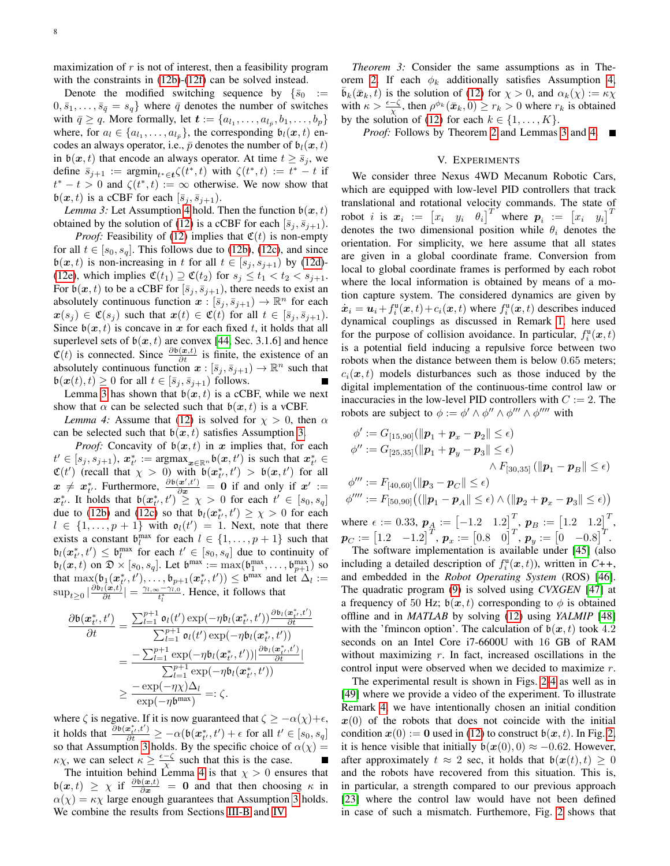maximization of  $r$  is not of interest, then a feasibility program with the constraints in  $(12b)-(12f)$  $(12b)-(12f)$  $(12b)-(12f)$  can be solved instead.

Denote the modified switching sequence by  $\{\bar{s}_0\}$  :=  $0, \bar{s}_1, \ldots, \bar{s}_{\bar{q}} = s_q$  where  $\bar{q}$  denotes the number of switches with  $\bar{q} \ge q$ . More formally, let  $\mathbf{t} := \{a_{l_1}, \ldots, a_{l_{\bar{p}}}, b_1, \ldots, b_p\}$ where, for  $a_l \in \{a_{l_1}, \ldots, a_{l_{\bar{p}}}\}\$ , the corresponding  $\mathfrak{b}_l(\boldsymbol{x},t)$  encodes an always operator, i.e.,  $\bar{p}$  denotes the number of  $\mathfrak{b}_l(\bm{x}, t)$ in  $\mathfrak{b}(\boldsymbol{x}, t)$  that encode an always operator. At time  $t \geq \bar{s}_i$ , we define  $\bar{s}_{j+1}$  :=  $\operatorname{argmin}_{t^* \in \mathbf{t}} \zeta(t^*, t)$  with  $\zeta(t^*, t) := t^* - t$  if  $t^* - t > 0$  and  $\zeta(t^*, t) := \infty$  otherwise. We now show that  $\mathfrak{b}(\boldsymbol{x}, t)$  is a cCBF for each  $[\bar{s}_j, \bar{s}_{j+1})$ .

*Lemma 3:* Let Assumption [4](#page-6-2) hold. Then the function  $b(x, t)$ obtained by the solution of [\(12\)](#page-6-5) is a cCBF for each  $[\bar{s}_i, \bar{s}_{i+1})$ .

*Proof:* Feasibility of [\(12\)](#page-6-5) implies that  $\mathfrak{C}(t)$  is non-empty for all  $t \in [s_0, s_q]$ . This follows due to [\(12b\)](#page-6-6), [\(12c\)](#page-6-8), and since  $\mathfrak{b}(\boldsymbol{x}, t)$  is non-increasing in t for all  $t \in [s_j, s_{j+1})$  by [\(12d\)](#page-6-9)-[\(12e\)](#page-6-10), which implies  $\mathfrak{C}(t_1) \supseteq \mathfrak{C}(t_2)$  for  $s_i \leq t_1 < t_2 < s_{i+1}$ . For  $\mathfrak{b}(\boldsymbol{x},t)$  to be a cCBF for  $[\bar{s}_i, \bar{s}_{i+1})$ , there needs to exist an absolutely continuous function  $x : [\bar{s}_j, \bar{s}_{j+1}) \to \mathbb{R}^n$  for each  $x(s_i) \in \mathfrak{C}(s_i)$  such that  $x(t) \in \mathfrak{C}(t)$  for all  $t \in [\bar{s}_i, \bar{s}_{i+1}).$ Since  $b(x, t)$  is concave in x for each fixed t, it holds that all superlevel sets of  $b(x, t)$  are convex [\[44,](#page-11-27) Sec. 3.1.6] and hence  $\mathfrak{C}(t)$  is connected. Since  $\frac{\partial \mathfrak{b}(x,t)}{\partial t}$  is finite, the existence of an absolutely continuous function  $x : [\bar{s}_j, \bar{s}_{j+1}) \to \mathbb{R}^n$  such that  $\mathfrak{b}(\boldsymbol{x}(t), t) \geq 0$  for all  $t \in [\bar{s}_j, \bar{s}_{j+1})$  follows.

Lemma [3](#page-7-2) has shown that  $b(x, t)$  is a cCBF, while we next show that  $\alpha$  can be selected such that  $\mathfrak{b}(\boldsymbol{x},t)$  is a vCBF.

*Lemma 4:* Assume that [\(12\)](#page-6-5) is solved for  $\chi > 0$ , then  $\alpha$ can be selected such that  $b(x, t)$  satisfies Assumption [3.](#page-5-3)

*Proof:* Concavity of  $b(x, t)$  in x implies that, for each  $t' \in [s_j, s_{j+1}),$   $\mathbf{x}_{t'}^* := \text{argmax}_{\mathbf{x} \in \mathbb{R}^n} \mathfrak{b}(\mathbf{x}, t')$  is such that  $\mathbf{x}_{t'}^* \in$  $\mathfrak{C}(t')$  (recall that  $\chi > 0$ ) with  $\mathfrak{b}(\mathbf{x}_{t'}^*, t') > \mathfrak{b}(\mathbf{x}, t')$  for all t  $x \neq x_{t'}^*$ . Furthermore,  $\frac{\partial b(x',t')}{\partial x} = 0$  if and only if  $x' :=$  $x_{t'}^*$ . It holds that  $\mathfrak{b}(x_{t'}^*, t') \geq \chi > 0$  for each  $t' \in [s_0, s_q]$ due to [\(12b\)](#page-6-6) and [\(12c\)](#page-6-8) so that  $\mathfrak{b}_l(\mathbf{x}_{t'}^*, t') \geq \chi > 0$  for each  $l \in \{1, \ldots, p+1\}$  with  $o_l(t') = 1$ . Next, note that there exists a constant  $\mathfrak{b}_l^{\max}$  for each  $l \in \{1, \ldots, p+1\}$  such that  $\mathfrak{b}_l(\boldsymbol{x}_{t'}^*, t') \leq \mathfrak{b}_l^{\max}$  for each  $t' \in [s_0, s_q]$  due to continuity of  $\mathfrak{b}_l(\mathbf{x},t)$  on  $\mathfrak{D} \times [s_0, s_q]$ . Let  $\mathfrak{b}^{\max} := \max(\mathfrak{b}_1^{\max}, \dots, \mathfrak{b}_{p+1}^{\max})$  so that  $\max(\mathfrak{b}_1(\mathbf{x}^*_t, t'), \dots, \mathfrak{b}_{p+1}(\mathbf{x}^*_t, t')) \leq \mathfrak{b}^{\max}$  and let  $\Delta_l :=$  $\sup_{t\geq 0} |\frac{\partial b_t(\bm{x},t)}{\partial t}| = \frac{\gamma_{t,\infty}-\gamma_{t,0}}{t_t^*}$ . Hence, it follows that

$$
\frac{\partial \mathfrak{b}(\boldsymbol{x}_{t'}^*,t')}{\partial t} = \frac{\sum_{l=1}^{p+1} \mathfrak{o}_l(t') \exp(-\eta \mathfrak{b}_l(\boldsymbol{x}_{t'}^*,t')) \frac{\partial \mathfrak{b}_l(\boldsymbol{x}_{t'}^*,t')}{\partial t}}{\sum_{l=1}^{p+1} \mathfrak{o}_l(t') \exp(-\eta \mathfrak{b}_l(\boldsymbol{x}_{t'}^*,t'))}
$$
\n
$$
= \frac{-\sum_{l=1}^{p+1} \exp(-\eta \mathfrak{b}_l(\boldsymbol{x}_{t'}^*,t')) |\frac{\partial \mathfrak{b}_l(\boldsymbol{x}_{t'}^*,t')}{\partial t}|}{\sum_{l=1}^{p+1} \exp(-\eta \mathfrak{b}_l(\boldsymbol{x}_{t'}^*,t'))}
$$
\n
$$
\geq \frac{-\exp(-\eta \chi) \Delta_l}{\exp(-\eta \mathfrak{b}^{\max})} =: \zeta.
$$

where  $\zeta$  is negative. If it is now guaranteed that  $\zeta \ge -\alpha(\chi) + \epsilon$ , it holds that  $\frac{\partial \mathfrak{b}(\mathbf{x}_{t'}^*, t')}{\partial t} \geq -\alpha(\mathfrak{b}(\mathbf{x}_{t'}^*, t') + \epsilon \text{ for all } t' \in [s_0, s_q]$ so that Assumption [3](#page-5-3) holds. By the specific choice of  $\alpha(\chi)$  =  $\kappa \chi$ , we can select  $\kappa \geq \frac{\epsilon - \zeta}{\chi}$  such that this is the case.

The intuition behind Lemma [4](#page-7-1) is that  $\chi > 0$  ensures that  $\phi(x, t) \geq \chi$  if  $\frac{\partial \phi(x, t)}{\partial x} = 0$  and that then choosing  $\kappa$  in  $\alpha(\chi) = \kappa \chi$  large enough guarantees that Assumption [3](#page-5-3) holds. We combine the results from Sections [III-B](#page-5-1) and [IV.](#page-5-0)

*Theorem 3:* Consider the same assumptions as in The-orem [2.](#page-5-2) If each  $\phi_k$  additionally satisfies Assumption [4,](#page-6-2)  $\bar{\mathfrak{b}}_k(\bar{\mathbf{x}}_k, t)$  is the solution of [\(12\)](#page-6-5) for  $\chi > 0$ , and  $\alpha_k(\chi) := \kappa \chi$ with  $\kappa > \frac{\epsilon - \zeta}{\chi}$ , then  $\rho^{\phi_k}(\bar{x}_k, 0) \ge r_k > 0$  where  $r_k$  is obtained by the solution of [\(12\)](#page-6-5) for each  $k \in \{1, \ldots, K\}$ .

*Proof:* Follows by Theorem [2](#page-5-2) and Lemmas [3](#page-7-2) and [4.](#page-7-1) ■

#### V. EXPERIMENTS

<span id="page-7-2"></span><span id="page-7-0"></span>We consider three Nexus 4WD Mecanum Robotic Cars, which are equipped with low-level PID controllers that track translational and rotational velocity commands. The state of robot *i* is  $x_i := \begin{bmatrix} x_i & y_i & \theta_i \end{bmatrix}^T$  where  $p_i := \begin{bmatrix} x_i & y_i \end{bmatrix}^T$ denotes the two dimensional position while  $\theta_i$  denotes the orientation. For simplicity, we here assume that all states are given in a global coordinate frame. Conversion from local to global coordinate frames is performed by each robot where the local information is obtained by means of a motion capture system. The considered dynamics are given by  $\dot{x}_i = u_i + f_i^{\text{u}}(x, t) + c_i(x, t)$  where  $f_i^{\text{u}}(x, t)$  describes induced dynamical couplings as discussed in Remark [1,](#page-3-6) here used for the purpose of collision avoidance. In particular,  $f_i^{\mathrm{u}}(x,t)$ is a potential field inducing a repulsive force between two robots when the distance between them is below 0.65 meters;  $c_i(x, t)$  models disturbances such as those induced by the digital implementation of the continuous-time control law or inaccuracies in the low-level PID controllers with  $C := 2$ . The robots are subject to  $\phi := \phi' \wedge \phi'' \wedge \phi''' \wedge \phi'''$  with

<span id="page-7-1"></span>
$$
\phi' := G_{[15,90]}(||\mathbf{p}_1 + \mathbf{p}_x - \mathbf{p}_2|| \le \epsilon)
$$
  
\n
$$
\phi'' := G_{[25,35]}(||\mathbf{p}_1 + \mathbf{p}_y - \mathbf{p}_3|| \le \epsilon)
$$
  
\n
$$
\wedge F_{[30,35]}(||\mathbf{p}_1 - \mathbf{p}_B|| \le \epsilon)
$$
  
\n
$$
\phi''' := F_{[40,60]}(||\mathbf{p}_3 - \mathbf{p}_C|| \le \epsilon)
$$
  
\n
$$
\phi'''' := F_{[50,90]}((||\mathbf{p}_1 - \mathbf{p}_A|| \le \epsilon) \wedge (||\mathbf{p}_2 + \mathbf{p}_x - \mathbf{p}_3|| \le \epsilon))
$$

where  $\epsilon := 0.33$ ,  $p_A := \begin{bmatrix} -1.2 & 1.2 \end{bmatrix}^T$ ,  $p_B := \begin{bmatrix} 1.2 & 1.2 \end{bmatrix}^T$ ,  $\boldsymbol{p}_C := \begin{bmatrix} 1.2 & -1.2 \end{bmatrix}^T, \, \boldsymbol{p}_x := \begin{bmatrix} 0.8 & 0 \end{bmatrix}^T, \, \boldsymbol{p}_y := \begin{bmatrix} 0 & -0.8 \end{bmatrix}^T.$ 

The software implementation is available under [\[45\]](#page-11-28) (also including a detailed description of  $f_i^{\text{u}}(x,t)$ ), written in C++, and embedded in the *Robot Operating System* (ROS) [\[46\]](#page-11-29). The quadratic program [\(9\)](#page-5-5) is solved using *CVXGEN* [\[47\]](#page-11-30) at a frequency of 50 Hz;  $b(x, t)$  corresponding to  $\phi$  is obtained offline and in *MATLAB* by solving [\(12\)](#page-6-5) using *YALMIP* [\[48\]](#page-11-31) with the 'fmincon option'. The calculation of  $b(x, t)$  took 4.2 seconds on an Intel Core i7-6600U with 16 GB of RAM without maximizing  $r$ . In fact, increased oscillations in the control input were observed when we decided to maximize r.

The experimental result is shown in Figs. [2-](#page-8-1)[4](#page-8-2) as well as in [\[49\]](#page-11-32) where we provide a video of the experiment. To illustrate Remark [4,](#page-4-5) we have intentionally chosen an initial condition  $x(0)$  of the robots that does not coincide with the initial condition  $x(0) := 0$  used in [\(12\)](#page-6-5) to construct  $b(x, t)$ . In Fig. [2,](#page-8-1) it is hence visible that initially  $\mathfrak{b}(\mathfrak{X}(0), 0) \approx -0.62$ . However, after approximately  $t \approx 2$  sec, it holds that  $\mathfrak{b}(\mathbf{x}(t), t) \geq 0$ and the robots have recovered from this situation. This is, in particular, a strength compared to our previous approach [\[23\]](#page-11-6) where the control law would have not been defined in case of such a mismatch. Furthemore, Fig. [2](#page-8-1) shows that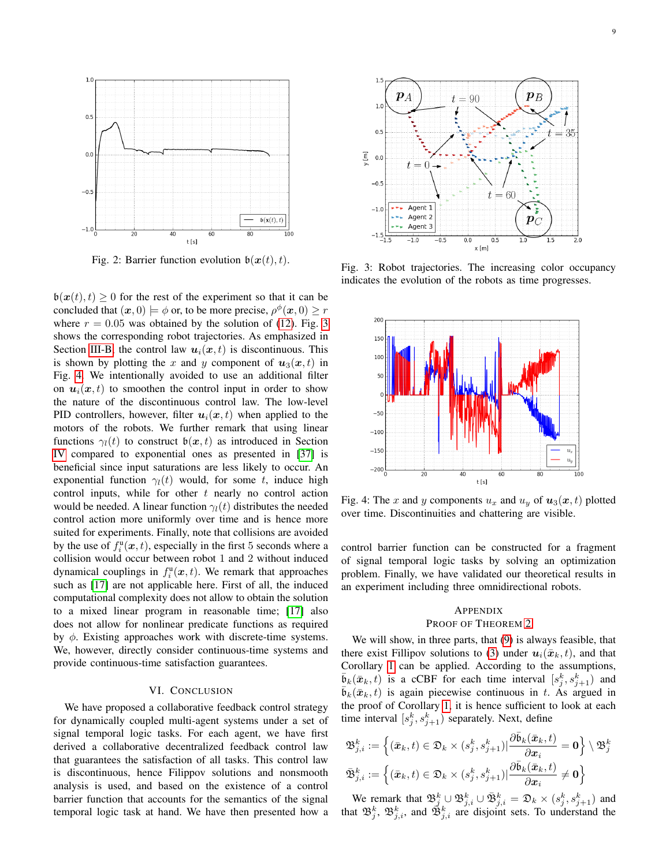<span id="page-8-1"></span>

Fig. 2: Barrier function evolution  $\mathfrak{b}(\boldsymbol{x}(t), t)$ .

 $\mathfrak{b}(\mathbf{x}(t), t) \geq 0$  for the rest of the experiment so that it can be concluded that  $(x, 0) \models \phi$  or, to be more precise,  $\rho^{\phi}(x, 0) \ge r$ where  $r = 0.05$  was obtained by the solution of [\(12\)](#page-6-5). Fig. [3](#page-8-3) shows the corresponding robot trajectories. As emphasized in Section [III-B,](#page-5-1) the control law  $u_i(x, t)$  is discontinuous. This is shown by plotting the x and y component of  $u_3(x, t)$  in Fig. [4.](#page-8-2) We intentionally avoided to use an additional filter on  $u_i(x, t)$  to smoothen the control input in order to show the nature of the discontinuous control law. The low-level PID controllers, however, filter  $u_i(x, t)$  when applied to the motors of the robots. We further remark that using linear functions  $\gamma_l(t)$  to construct  $\mathfrak{b}(\mathbf{x}, t)$  as introduced in Section [IV](#page-5-0) compared to exponential ones as presented in [\[37\]](#page-11-20) is beneficial since input saturations are less likely to occur. An exponential function  $\gamma_l(t)$  would, for some t, induce high control inputs, while for other  $t$  nearly no control action would be needed. A linear function  $\gamma_l(t)$  distributes the needed control action more uniformly over time and is hence more suited for experiments. Finally, note that collisions are avoided by the use of  $f_i^{\text{u}}(x, t)$ , especially in the first 5 seconds where a collision would occur between robot 1 and 2 without induced dynamical couplings in  $f_i^{\mathrm{u}}(\boldsymbol{x},t)$ . We remark that approaches such as [\[17\]](#page-11-1) are not applicable here. First of all, the induced computational complexity does not allow to obtain the solution to a mixed linear program in reasonable time; [\[17\]](#page-11-1) also does not allow for nonlinear predicate functions as required by  $\phi$ . Existing approaches work with discrete-time systems. We, however, directly consider continuous-time systems and provide continuous-time satisfaction guarantees.

#### VI. CONCLUSION

<span id="page-8-0"></span>We have proposed a collaborative feedback control strategy for dynamically coupled multi-agent systems under a set of signal temporal logic tasks. For each agent, we have first derived a collaborative decentralized feedback control law that guarantees the satisfaction of all tasks. This control law is discontinuous, hence Filippov solutions and nonsmooth analysis is used, and based on the existence of a control barrier function that accounts for the semantics of the signal temporal logic task at hand. We have then presented how a

<span id="page-8-3"></span>

Fig. 3: Robot trajectories. The increasing color occupancy indicates the evolution of the robots as time progresses.

<span id="page-8-2"></span>

Fig. 4: The x and y components  $u_x$  and  $u_y$  of  $u_3(x, t)$  plotted over time. Discontinuities and chattering are visible.

control barrier function can be constructed for a fragment of signal temporal logic tasks by solving an optimization problem. Finally, we have validated our theoretical results in an experiment including three omnidirectional robots.

## APPENDIX

# PROOF OF THEOREM [2](#page-5-2)

We will show, in three parts, that [\(9\)](#page-5-5) is always feasible, that there exist Fillipov solutions to [\(3\)](#page-2-4) under  $u_i(\bar{x}_k, t)$ , and that Corollary [1](#page-4-4) can be applied. According to the assumptions,  $\bar{b}_k(\bar{x}_k, t)$  is a cCBF for each time interval  $[s_j^k, s_{j+1}^k)$  and  $\mathfrak{b}_k(\bar{\mathbf{x}}_k, t)$  is again piecewise continuous in t. As argued in the proof of Corollary [1,](#page-4-4) it is hence sufficient to look at each time interval  $[s_j^k, s_{j+1}^k)$  separately. Next, define

$$
\begin{aligned} &\mathfrak{B}^k_{j,i}:=\Big\{(\bar{\boldsymbol{x}}_k,t)\in\mathfrak{D}_k\times (s^k_j,s^k_{j+1})|\frac{\partial \bar{\mathfrak{b}}_k(\bar{\boldsymbol{x}}_k,t)}{\partial \boldsymbol{x}_i}=\boldsymbol{0}\Big\}\setminus\mathfrak{B}^k_j\\ &\bar{\mathfrak{B}}^k_{j,i}:=\Big\{(\bar{\boldsymbol{x}}_k,t)\in\mathfrak{D}_k\times (s^k_j,s^k_{j+1})|\frac{\partial \bar{\mathfrak{b}}_k(\bar{\boldsymbol{x}}_k,t)}{\partial \boldsymbol{x}_i}\neq \boldsymbol{0}\Big\}\end{aligned}
$$

We remark that  $\mathfrak{B}_j^k \cup \mathfrak{B}_{j,i}^k \cup \bar{\mathfrak{B}}_{j,i}^k = \mathfrak{D}_k \times (s_j^k, s_{j+1}^k)$  and that  $\mathfrak{B}_{j}^{k}$ ,  $\mathfrak{B}_{j,i}^{k}$ , and  $\mathfrak{B}_{j,i}^{k}$  are disjoint sets. To understand the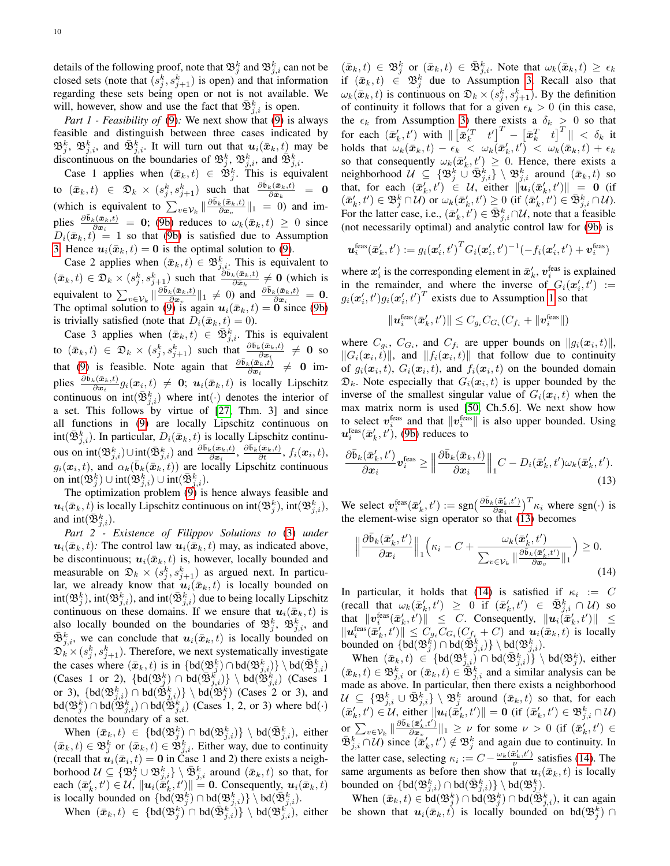details of the following proof, note that  $\mathfrak{B}^k_j$  and  $\mathfrak{B}^k_{j,i}$  can not be closed sets (note that  $(s_j^k, s_{j+1}^k)$  is open) and that information regarding these sets being open or not is not available. We will, however, show and use the fact that  $\bar{\mathfrak{B}}_{j,i}^k$  is open.

*Part 1 - Feasibility of* [\(9\)](#page-5-5)*:* We next show that [\(9\)](#page-5-5) is always feasible and distinguish between three cases indicated by  $\mathfrak{B}^k_j$ ,  $\mathfrak{B}^k_{j,i}$ , and  $\bar{\mathfrak{B}}^k_{j,i}$ . It will turn out that  $u_i(\bar{x}_k, t)$  may be discontinuous on the boundaries of  $\mathfrak{B}_{j}^{k}$ ,  $\mathfrak{B}_{j,i}^{k}$ , and  $\mathfrak{B}_{j,i}^{k}$ .

Case 1 applies when  $(\bar{x}_k, t) \in \mathfrak{B}_j^k$ . This is equivalent to  $(\bar{x}_k, t) \in \mathfrak{D}_k \times (s_j^k, s_{j+1}^k)$  such that  $\frac{\partial \bar{\mathfrak{b}}_k(\bar{x}_k, t)}{\partial \bar{x}_k} = 0$ (which is equivalent to  $\sum_{v \in \mathcal{V}_k} \|\frac{\partial \bar{b}_k(\bar{x}_k,t)}{\partial x_v}$  $\frac{\partial c(\mathbf{x}_k, t)}{\partial \mathbf{x}_v}$  ||1 = 0) and implies  $\frac{\partial \bar{b}_k(\bar{x}_k,t)}{\partial x_i} = 0$ ; [\(9b\)](#page-5-4) reduces to  $\omega_k(\bar{x}_k,t) \geq 0$  since  $D_i(\bar{x}_k, t) = 1$  so that [\(9b\)](#page-5-4) is satisfied due to Assumption [3.](#page-5-3) Hence  $u_i(\bar{x}_k, t) = 0$  is the optimal solution to [\(9\)](#page-5-5).

Case 2 applies when  $(\bar{x}_k, t) \in \mathfrak{B}_{j,i}^k$ . This is equivalent to  $(\bar{x}_k, t) \in \mathfrak{D}_k \times (s_j^k, s_{j+1}^k)$  such that  $\frac{\partial \bar{\mathfrak{b}}_k(\bar{x}_k, t)}{\partial \bar{x}_k} \neq 0$  (which is equivalent to  $\sum_{v \in \mathcal{V}_k} \|\frac{\partial \bar{b}_k(\bar{x}_k,t)}{\partial x_v}$  $\frac{\partial \bar{\mathbf{w}}_k(\bar{\mathbf{x}}_k,t)}{\partial \mathbf{x}_v}$  and  $\frac{\partial \bar{\mathbf{b}}_k(\bar{\mathbf{x}}_k,t)}{\partial \mathbf{x}_i} = \mathbf{0}$ . The optimal solution to [\(9\)](#page-5-5) is again  $u_i(\bar{x}_k, t) = 0$  since [\(9b\)](#page-5-4) is trivially satisfied (note that  $D_i(\bar{x}_k, t) = 0$ ).

Case 3 applies when  $(\bar{x}_k, t) \in \bar{\mathfrak{B}}_{j,i}^k$ . This is equivalent to  $(\bar{x}_k, t) \in \mathfrak{D}_k \times (s_j^k, s_{j+1}^k)$  such that  $\frac{\partial \bar{b}_k(\bar{x}_k, t)}{\partial x_i} \neq \mathbf{0}$  so that [\(9\)](#page-5-5) is feasible. Note again that  $\frac{\partial \bar{b}_k(\bar{x}_k,t)}{\partial x_i} \neq 0$  implies  $\frac{\partial \bar{b}_k(\bar{x}_k,t)}{\partial x_i} g_i(x_i,t) \neq 0$ ;  $u_i(\bar{x}_k,t)$  is locally Lipschitz continuous on  $int(\bar{\mathfrak{B}}_{j,i}^k)$  where  $int(\cdot)$  denotes the interior of a set. This follows by virtue of [\[27,](#page-11-10) Thm. 3] and since all functions in [\(9\)](#page-5-5) are locally Lipschitz continuous on  $int(\bar{\mathfrak{B}}_{j,i}^k)$ . In particular,  $D_i(\bar{x}_k, t)$  is locally Lipschitz continuous on  $\mathrm{int}(\mathfrak{B}_{j,i}^k) \cup \mathrm{int}(\bar{\mathfrak{B}}_{j,i}^k)$  and  $\frac{\partial \bar{\mathfrak{b}}_k(\bar{\mathfrak{w}}_k,t)}{\partial \bar{\mathfrak{x}}_i}, \frac{\partial \bar{\mathfrak{b}}_k(\bar{\mathfrak{w}}_k,t)}{\partial t}, f_i(\mathfrak{x}_i,t)$ ,  $g_i(\mathbf{x}_i, t)$ , and  $\alpha_k(\bar{\mathfrak{b}}_k(\bar{\mathbf{x}}_k, t))$  are locally Lipschitz continuous on  $\text{int}(\mathfrak{B}_{j}^{k}) \cup \text{int}(\mathfrak{B}_{j,i}^{k}) \cup \text{int}(\bar{\mathfrak{B}}_{j,i}^{k}).$ 

The optimization problem [\(9\)](#page-5-5) is hence always feasible and  $\bm{u}_i(\bar{\bm{x}}_k,t)$  is locally Lipschitz continuous on int $(\mathfrak{B}^k_j),$  int $(\mathfrak{B}^k_{j,i}),$ and  $\text{int}(\bar{\mathfrak{B}}_{j,i}^k)$ .

*Part 2 - Existence of Filippov Solutions to* [\(3\)](#page-2-4) *under*  $u_i(\bar{x}_k, t)$ : The control law  $u_i(\bar{x}_k, t)$  may, as indicated above, be discontinuous;  $u_i(\bar{x}_k, t)$  is, however, locally bounded and measurable on  $\mathfrak{D}_k \times (s_j^k, s_{j+1}^k)$  as argued next. In particular, we already know that  $u_i(\bar{x}_k, t)$  is locally bounded on  $\text{int}(\mathfrak{B}_{j,i}^{k}), \text{int}(\mathfrak{B}_{j,i}^{k}),$  and  $\text{int}(\bar{\mathfrak{B}}_{j,i}^{k})$  due to being locally Lipschitz continuous on these domains. If we ensure that  $u_i(\bar{x}_k, t)$  is also locally bounded on the boundaries of  $\mathfrak{B}_{j}^{k}$ ,  $\mathfrak{B}_{j,i}^{k}$ , and  $\bar{\mathfrak{B}}_{j,i}^k$ , we can conclude that  $u_i(\bar{x}_k,t)$  is locally bounded on  $\mathfrak{D}_{k}^{\times}(s_{j}^{k}, s_{j+1}^{k})$ . Therefore, we next systematically investigate the cases where  $(\bar{x}_k, t)$  is in  $\{bd(\mathfrak{B}_{j}^k) \cap bd(\mathfrak{B}_{j,i}^k)\}\setminus bd(\bar{\mathfrak{B}}_{j,i}^k)$ (Cases 1 or 2),  $\{bd(\mathfrak{B}_{j,i}^{k'}) \cap bd(\mathfrak{B}_{j,i}^{k'})\} \setminus bd(\mathfrak{B}_{j,i}^{k'})$  (Cases 1 or 3),  $\{bd(\mathfrak{B}_{j,i}^k) \cap bd(\mathfrak{B}_{j,i}^k)\}\setminus bd(\mathfrak{B}_{j}^k)$  (Cases 2 or 3), and  $\text{bd}(\mathfrak{B}_{j}^{k}) \cap \text{bd}(\mathfrak{B}_{j,i}^{k}) \cap \text{bd}(\mathfrak{B}_{j,i}^{k})$  (Cases 1, 2, or 3) where  $\text{bd}(\cdot)$ denotes the boundary of a set.

When  $(\bar{x}_k, t) \in {\text{bd}}(\mathfrak{B}_{j}^k) \cap \text{bd}(\mathfrak{B}_{j,i}^k) \setminus \text{bd}(\bar{\mathfrak{B}}_{j,i}^k)$ , either  $(\bar{x}_k, t) \in \mathfrak{B}_{j}^k$  or  $(\bar{x}_k, t) \in \mathfrak{B}_{j,i}^k$ . Either way, due to continuity (recall that  $u_i(\bar{x}_i, t) = 0$  in Case 1 and 2) there exists a neighborhood  $\mathcal{U} \subseteq \{ \mathfrak{B}_j^k \cup \mathfrak{B}_{j,i}^k \} \setminus \bar{\mathfrak{B}}_{j,i}^k$  around  $(\bar{x}_k, t)$  so that, for each  $(\bar{x}'_k, t') \in \mathcal{U}$ ,  $||\mathbf{u}_i(\bar{x}'_k, t')|| = 0$ . Consequently,  $\mathbf{u}_i(\bar{x}_k, t)$ is locally bounded on  $\{bd(\mathfrak{B}_{j}^{k})\cap bd(\mathfrak{B}_{j,i}^{k})\}\setminus bd(\mathfrak{B}_{j,i}^{k})$ .

When  $(\bar{x}_k, t) \in \{bd(\mathfrak{B}_{j}^k) \cap bd(\bar{\mathfrak{B}}_{j,i}^k)\} \setminus bd(\mathfrak{B}_{j,i}^{k'})$ , either

 $(\bar{x}_k, t) \in \mathfrak{B}^k_j$  or  $(\bar{x}_k, t) \in \bar{\mathfrak{B}}^k_{j,i}$ . Note that  $\omega_k(\bar{x}_k, t) \geq \epsilon_k$ if  $(\bar{x}_k, t) \in \mathfrak{B}_j^k$  due to Assumption [3.](#page-5-3) Recall also that  $\omega_k(\bar{x}_k, t)$  is continuous on  $\mathfrak{D}_k \times (s_j^k, s_{j+1}^k)$ . By the definition of continuity it follows that for a given  $\epsilon_k > 0$  (in this case, the  $\epsilon_k$  from Assumption [3\)](#page-5-3) there exists a  $\delta_k > 0$  so that for each  $(\bar{x}'_k,t')$  with  $\left\| \begin{bmatrix} \bar{x}'^T & t' \end{bmatrix}^T - \begin{bmatrix} \bar{x}_k^T & t \end{bmatrix}^T \right\| < \delta_k$  it holds that  $\omega_k(\bar{x}_k, t) - \epsilon_k < \omega_k(\bar{x}'_k, t') < \omega_k(\bar{x}_k, t) + \epsilon_k$ so that consequently  $\omega_k(\bar{x}'_k, t') \geq 0$ . Hence, there exists a neighborhood  $\mathcal{U} \subseteq \{ \mathfrak{B}^k_j \cup \bar{\mathfrak{B}}^k_{j,i} \} \setminus \mathfrak{B}^k_{j,i}$  around  $(\bar{x}_k, t)$  so that, for each  $(\bar{x}'_k, t') \in \mathcal{U}$ , either  $\|\tilde{u}_i(\bar{x}'_k, t')\| = 0$  (if  $(\bar{x}'_k, t') \in \mathfrak{B}^k_j \cap \mathcal{U}$  or  $\omega_k(\bar{x}'_k, t') \geq 0$  (if  $(\bar{x}'_k, t') \in \bar{\mathfrak{B}}^k_{j,i} \cap \mathcal{U}$ ). For the latter case, i.e.,  $(\bar{x}'_k, \bar{t}') \in \bar{\mathfrak{B}}_{j,i}^k \cap \mathcal{U}$ , note that a feasible (not necessarily optimal) and analytic control law for [\(9b\)](#page-5-4) is

$$
\boldsymbol{u}_i^{\text{feas}}(\bar{\boldsymbol{x}}'_k, t') := g_i(\boldsymbol{x}'_i, t')^T G_i(\boldsymbol{x}'_i, t')^{-1} (-f_i(\boldsymbol{x}'_i, t') + \boldsymbol{v}_i^{\text{feas}})
$$

where  $x'_i$  is the corresponding element in  $\bar{x}'_k$ ,  $v_i^{\text{feas}}$  is explained in the remainder, and where the inverse of  $G_i(x'_i, t') :=$  $g_i(\mathbf{x}'_i, t')g_i(\mathbf{x}'_i, t')^T$  exists due to Assumption [1](#page-3-1) so that

$$
\|\mathbf{u}_i^{\text{feas}}(\bar{\mathbf{x}}'_k, t')\| \leq C_{g_i} C_{G_i} (C_{f_i} + \|\mathbf{v}_i^{\text{feas}}\|)
$$

where  $C_{g_i}$ ,  $C_{G_i}$ , and  $C_{f_i}$  are upper bounds on  $||g_i(\mathbf{x}_i, t)||$ ,  $||G_i(\mathbf{x}_i, t)||$ , and  $||f_i(\mathbf{x}_i, t)||$  that follow due to continuity of  $g_i(\mathbf{x}_i, t)$ ,  $G_i(\mathbf{x}_i, t)$ , and  $f_i(\mathbf{x}_i, t)$  on the bounded domain  $\mathfrak{D}_k$ . Note especially that  $G_i(\mathbf{x}_i, t)$  is upper bounded by the inverse of the smallest singular value of  $G_i(x_i, t)$  when the max matrix norm is used [\[50,](#page-11-33) Ch.5.6]. We next show how to select  $v_i^{\text{feas}}$  and that  $\Vert v_i^{\text{feas}} \Vert$  is also upper bounded. Using  $\boldsymbol{u}^{\text{feas}}_i(\bar{\boldsymbol{x}}'_k,t'),$  [\(9b\)](#page-5-4) reduces to

$$
\frac{\partial \bar{\mathfrak{b}}_k(\bar{\boldsymbol{x}}_k',t')}{\partial \boldsymbol{x}_i} \boldsymbol{v}_i^{\text{feas}} \ge \Big\| \frac{\partial \bar{\mathfrak{b}}_k(\bar{\boldsymbol{x}}_k,t)}{\partial \boldsymbol{x}_i} \Big\|_1 C - D_i(\bar{\boldsymbol{x}}_k',t') \omega_k(\bar{\boldsymbol{x}}_k',t'). \tag{13}
$$

We select  $\boldsymbol{v}_i^{\text{feas}}(\bar{\boldsymbol{x}}'_k, t') := \text{sgn}\left(\frac{\partial \bar{\mathfrak{b}}_k(\bar{\boldsymbol{x}}'_k, t')}{\partial \bar{\boldsymbol{x}}_i}\right)$  $\frac{(\bar{x}'_k,t')}{\partial x_i}$   $\Big)^T \kappa_i$  where sgn( $\cdot$ ) is the element-wise sign operator so that [\(13\)](#page-9-0) becomes

<span id="page-9-1"></span><span id="page-9-0"></span>
$$
\left\|\frac{\partial \bar{\mathfrak{b}}_k(\bar{\boldsymbol{x}}'_k, t')}{\partial \boldsymbol{x}_i}\right\|_1 \left(\kappa_i - C + \frac{\omega_k(\bar{\boldsymbol{x}}'_k, t')}{\sum_{v \in \mathcal{V}_k} \|\frac{\partial \bar{\mathfrak{b}}_k(\bar{\boldsymbol{x}}'_k, t')}{\partial \boldsymbol{x}_v}\|_1}\right) \geq 0.
$$
\n(14)

In particular, it holds that [\(14\)](#page-9-1) is satisfied if  $\kappa_i := C$ (recall that  $\omega_k(\bar{x}'_k, t') \geq 0$  if  $(\bar{x}'_k, t') \in \bar{\mathfrak{B}}^k_{j,i} \cap \mathcal{U}$ ) so that  $\|v_i^{\text{feas}}(\bar{x}'_k, t')\| \leq C$ . Consequently,  $\|u_i(\bar{x}'_k, t')\| \leq$  $\|\mathbf{u}_i^{\text{feas}}(\bar{\mathbf{x}}'_k, t')\| \leq C_{g_i} C_{G_i} (C_{f_i} + C)$  and  $\mathbf{u}_i(\bar{\mathbf{x}}_k, t)$  is locally bounded on  $\{bd(\mathfrak{B}_{j}^k) \cap bd(\mathfrak{B}_{j,i}^k)\}\setminus bd(\mathfrak{B}_{j,i}^k)$ .

When  $(\bar{x}_k, t) \in {\text{bd}}(\mathfrak{B}^k_{j,i}) \cap \text{bd}(\bar{\mathfrak{B}}^k_{j,i}) \} \setminus \text{bd}(\mathfrak{B}^k_j)$ , either  $(\bar{x}_k, t) \in \mathfrak{B}_{j,i}^k$  or  $(\bar{x}_k, t) \in \mathfrak{B}_{j,i}^k$  and a similar analysis can be made as above. In particular, then there exists a neighborhood  $\mathcal{U} \subseteq \{\mathfrak{B}^k_{j,i} \cup \bar{\mathfrak{B}}^k_{j,i}\} \setminus \mathfrak{B}^k_j$  around  $(\bar{x}_k, t)$  so that, for each  $(\bar{x}'_k, t') \in \mathcal{U}$ , either  $\|\boldsymbol{u}_i(\dot{\bar{x}}'_k, t')\| = \boldsymbol{0}$  (if  $(\bar{x}'_k, t') \in \mathfrak{B}^k_{j,i} \cap \mathcal{U}$ ) or  $\sum_{v \in \mathcal{V}_k} \|\frac{\partial \bar{\mathfrak{b}}_k(\bar{\boldsymbol{x}}'_k,t')}{\partial \boldsymbol{x}_v}$  $\frac{\partial \bar{x}_{k}(x)}{\partial x_{v}}\|_{1} \geq \nu$  for some  $\nu > 0$  (if  $(\bar{x}'_{k}, t') \in$  $\bar{\mathfrak{B}}_{j,i}^k \cap \mathcal{U}$  since  $(\bar{x}'_k, t') \notin \mathfrak{B}_j^k$  and again due to continuity. In the latter case, selecting  $\kappa_i := C - \frac{\omega_k(\bar{\boldsymbol{x}}_k', t')}{\nu}$  $\frac{\mathbf{c}_k, t}{\nu}$  satisfies [\(14\)](#page-9-1). The same arguments as before then show that  $u_i(\bar{x}_k, t)$  is locally bounded on  $\{\text{bd}(\mathfrak{B}_{j,i}^k)\cap \text{bd}(\bar{\mathfrak{B}}_{j,i}^k)\}\setminus \text{bd}(\mathfrak{B}_{j}^k).$ 

When  $(\bar{x}_k, t) \in \text{bd}(\mathfrak{B}_j^k) \cap \text{bd}(\mathfrak{B}_j^k) \cap \text{bd}(\bar{\mathfrak{B}}_{j,i}^k)$ , it can again be shown that  $u_i(\bar{x}_k, t)$  is locally bounded on bd $(\mathfrak{B}_j^k)$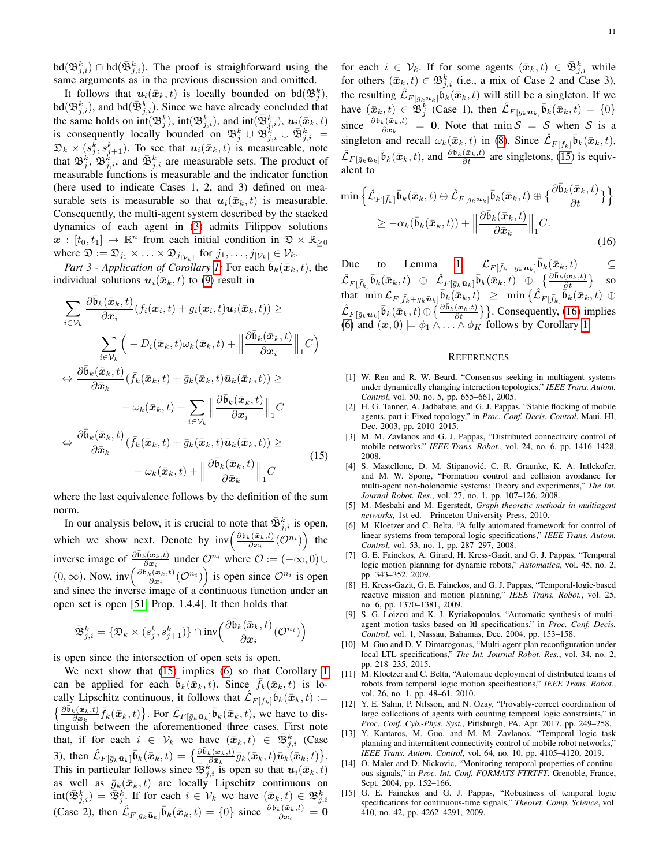$\text{bd}(\mathfrak{B}^k_{j,i}) \cap \text{bd}(\bar{\mathfrak{B}}^k_{j,i}).$  The proof is straighforward using the same arguments as in the previous discussion and omitted.

It follows that  $u_i(\bar{x}_k, t)$  is locally bounded on bd $(\mathfrak{B}_j^k)$ ,  $\text{bd}(\mathfrak{B}^k_{j,i}),$  and  $\text{bd}(\bar{\mathfrak{B}}^k_{j,i}).$  Since we have already concluded that the same holds on  $int(\mathfrak{B}_{j}^{k})$ ,  $int(\mathfrak{B}_{j,i}^{k})$ , and  $int(\bar{\mathfrak{B}}_{j,i}^{k})$ ,  $u_{i}(\bar{x}_{k},t)$ is consequently locally bounded on  $\mathfrak{B}_{j}^{k} \cup \mathfrak{B}_{j,i}^{k} \cup \overline{\mathfrak{B}}_{j,i}^{k} =$  $\mathfrak{D}_k \times (s_j^k, s_{j+1}^k)$ . To see that  $\mathbf{u}_i(\bar{\mathbf{x}}_k, t)$  is measureable, note that  $\mathfrak{B}_{j}^{k}$ ,  $\mathfrak{B}_{j,i}^{k'}$  and  $\bar{\mathfrak{B}}_{j,i}^{k}$  are measurable sets. The product of measurable functions is measurable and the indicator function (here used to indicate Cases 1, 2, and 3) defined on measurable sets is measurable so that  $u_i(\bar{x}_k, t)$  is measurable. Consequently, the multi-agent system described by the stacked dynamics of each agent in [\(3\)](#page-2-4) admits Filippov solutions  $\mathbf{x} : [t_0, t_1] \to \mathbb{R}^n$  from each initial condition in  $\mathfrak{D} \times \mathbb{R}_{\geq 0}$ where  $\mathfrak{D} := \mathfrak{D}_{j_1} \times \ldots \times \mathfrak{D}_{j_{|\mathcal{V}_k|}}$  for  $j_1, \ldots, j_{|\mathcal{V}_k|} \in \mathcal{V}_k$ .

*Part 3 - Application of Corollary [1:](#page-4-4)* For each  $\bar{b}_k(\bar{x}_k, t)$ , the individual solutions  $u_i(\bar{x}_k, t)$  to [\(9\)](#page-5-5) result in

$$
\sum_{i \in \mathcal{V}_k} \frac{\partial \bar{b}_k(\bar{x}_k, t)}{\partial x_i} (f_i(x_i, t) + g_i(x_i, t) \mathbf{u}_i(\bar{x}_k, t)) \ge
$$
\n
$$
\sum_{i \in \mathcal{V}_k} \left( -D_i(\bar{x}_k, t) \omega_k(\bar{x}_k, t) + \left\| \frac{\partial \bar{b}_k(\bar{x}_k, t)}{\partial x_i} \right\|_1 C \right)
$$
\n
$$
\Leftrightarrow \frac{\partial \bar{b}_k(\bar{x}_k, t)}{\partial \bar{x}_k} (f_k(\bar{x}_k, t) + \bar{g}_k(\bar{x}_k, t) \bar{\mathbf{u}}_k(\bar{x}_k, t)) \ge
$$
\n
$$
- \omega_k(\bar{x}_k, t) + \sum_{i \in \mathcal{V}_k} \left\| \frac{\partial \bar{b}_k(\bar{x}_k, t)}{\partial x_i} \right\|_1 C
$$
\n
$$
\Leftrightarrow \frac{\partial \bar{b}_k(\bar{x}_k, t)}{\partial \bar{x}_k} (f_k(\bar{x}_k, t) + \bar{g}_k(\bar{x}_k, t) \bar{\mathbf{u}}_k(\bar{x}_k, t)) \ge
$$
\n
$$
- \omega_k(\bar{x}_k, t) + \left\| \frac{\partial \bar{b}_k(\bar{x}_k, t)}{\partial \bar{x}_k} \right\|_1 C
$$
\n(15)

where the last equivalence follows by the definition of the sum norm.

In our analysis below, it is crucial to note that  $\bar{\mathfrak{B}}_{j,i}^k$  is open, which we show next. Denote by  $\mathrm{inv}\left(\frac{\partial \bar{\mathfrak{b}}_k(\bar{\boldsymbol{x}}_k,t)}{\partial \mathbf{x}_k}\right)$  $\frac{\partial_{\mathbf{c}}(\bar{\mathbf{x}}_k,t)}{\partial \mathbf{x}_i}$  ( $\mathcal{O}^{n_i}$ ) the inverse image of  $\frac{\partial \bar{b}_k(\bar{x}_k,t)}{\partial x_i}$  under  $\mathcal{O}^{n_i}$  where  $\mathcal{O} := (-\infty,0) \cup$  $(0, \infty)$ . Now, inv $\left(\frac{\partial \bar{\mathfrak{b}}_k(\bar{\mathfrak{a}}_k,t)}{\partial \mathfrak{a}_k}\right)$  $\left(\frac{\partial \bar{\mathbf{c}}_k(t)}{\partial \mathbf{x}_i}(\mathcal{O}^{n_i})\right)$  is open since  $\mathcal{O}^{n_i}$  is open and since the inverse image of a continuous function under an open set is open [\[51,](#page-11-34) Prop. 1.4.4]. It then holds that

$$
\bar{\mathfrak{B}}_{j,i}^k = \{\mathfrak{D}_k \times (s_j^k, s_{j+1}^k)\} \cap \textup{inv}\Big(\frac{\partial \bar{\mathfrak{b}}_k(\bar{\boldsymbol{x}}_k, t)}{\partial \boldsymbol{x}_i}(\mathcal{O}^{n_i})\Big)
$$

is open since the intersection of open sets is open.

We next show that [\(15\)](#page-10-11) implies [\(6\)](#page-4-1) so that Corollary [1](#page-4-4) can be applied for each  $\overline{b}_k(\overline{x}_k, t)$ . Since  $\overline{f}_k(\overline{x}_k, t)$  is locally Lipschitz continuous, it follows that  $\mathcal{L}_{F[\bar{f}_k]} \bar{\mathfrak{b}}_k(\bar{\mathbf{x}}_k,t) :=$  $\{\frac{\partial \bar{\mathfrak{b}}_k(\bar{\mathbf{x}}_k,t)}{\partial \bar{\mathbf{x}}_k}\bar{f}_k(\bar{\mathbf{x}}_k,t)\}$ . For  $\hat{\mathcal{L}}_{F[\bar{g}_k\bar{\mathbf{u}}_k]}\bar{\mathfrak{b}}_k(\bar{\mathbf{x}}_k,t)$ , we have to distinguish between the aforementioned three cases. First note that, if for each  $i \in \mathcal{V}_k$  we have  $(\bar{x}_k, t) \in \bar{\mathfrak{B}}_{j,i}^k$  (Case 3), then  $\hat{\mathcal{L}}_{F[\bar{g}_k\bar{\mathbf{u}}_k]}\bar{\mathfrak{b}}_k(\bar{\mathbf{x}}_k,t) = \left\{\frac{\partial \bar{\mathfrak{b}}_k(\bar{\mathbf{x}}_k,t)}{\partial \bar{\mathbf{x}}_k}\bar{g}_k(\bar{\mathbf{x}}_k,t)\bar{\mathbf{u}}_k(\bar{\mathbf{x}}_k,t)\right\}$ . This in particular follows since  $\bar{\mathfrak{B}}_{j,i}^k$  is open so that  $u_i(\bar{x}_k, t)$ as well as  $\bar{g}_k(\bar{x}_k, t)$  are locally Lipschitz continuous on  $\text{int}(\bar{\mathfrak{B}}_{j,i}^k) = \bar{\mathfrak{B}}_j^k$ . If for each  $i \in \mathcal{V}_k$  we have  $(\bar{x}_k, t) \in \mathfrak{B}_{j,i}^k$ (Case 2), then  $\hat{\mathcal{L}}_{F[\bar{g}_k\bar{\mathbf{u}}_k]} \bar{\mathfrak{b}}_k(\bar{x}_k, t) = \{0\}$  since  $\frac{\partial \bar{\mathfrak{b}}_k(\bar{x}_k, t)}{\partial x_i} = \mathbf{0}$  for each  $i \in \mathcal{V}_k$ . If for some agents  $(\bar{x}_k, t) \in \bar{\mathfrak{B}}_{j,i}^k$  while for others  $(\bar{x}_k, t) \in \mathfrak{B}_{j,i}^k$  (i.e., a mix of Case 2 and Case 3), the resulting  $\mathcal{\hat{L}}_{F[\bar{g}_k\bar{\mathbf{u}}_k]}\tilde{\bar{\mathbf{b}}}_k(\bar{\mathbf{x}}_k, t)$  will still be a singleton. If we have  $(\bar{x}_k, t) \in \mathfrak{B}^k_j$  (Case 1), then  $\mathcal{\hat{L}}_{F[\bar{g}_k\bar{u}_k]}\bar{\mathfrak{b}}_k(\bar{x}_k, t) = \{0\}$ since  $\frac{\partial \bar{b}_k(\bar{x}_k,t)}{\partial \bar{x}_k}$  = 0. Note that  $\min S = S$  when S is a singleton and recall  $\omega_k(\bar{x}_k, t)$  in [\(8\)](#page-5-7). Since  $\hat{\mathcal{L}}_{F[\bar{f}_k]} \bar{\mathfrak{b}}_k(\bar{x}_k, t)$ ,  $\hat{\mathcal{L}}_{F[\bar{g}_k\bar{\mathbf{u}}_k]}\bar{\mathfrak{b}}_k(\bar{\mathbf{x}}_k,t)$ , and  $\frac{\partial \bar{\mathfrak{b}}_k(\bar{\mathbf{x}}_k,t)}{\partial t}$  are singletons, [\(15\)](#page-10-11) is equivalent to

$$
\min \left\{ \hat{\mathcal{L}}_{F[\bar{f}_k]} \bar{\mathfrak{b}}_k(\bar{\boldsymbol{x}}_k, t) \oplus \hat{\mathcal{L}}_{F[\bar{g}_k \bar{\boldsymbol{u}}_k]} \bar{\mathfrak{b}}_k(\bar{\boldsymbol{x}}_k, t) \oplus \left\{ \frac{\partial \bar{\mathfrak{b}}_k(\bar{\boldsymbol{x}}_k, t)}{\partial t} \right\} \right\}
$$
\n
$$
\geq -\alpha_k(\bar{\mathfrak{b}}_k(\bar{\boldsymbol{x}}_k, t)) + \left\| \frac{\partial \bar{\mathfrak{b}}_k(\bar{\boldsymbol{x}}_k, t)}{\partial \bar{\boldsymbol{x}}_k} \right\|_1 C.
$$
\n(16)

Due to Lemma [1,](#page-1-1)  $\mathcal{L}_{F[\bar{f}_k + \bar{g}_k \bar{u}_k]} \bar{b}_k(\bar{x}_k, t)$   $\subseteq$  $\hat{\mathcal{L}}_{F[\bar{f}_k]}\bar{\mathfrak{b}}_k(\bar{\boldsymbol{x}}_k,t) \hspace{2mm} \oplus \hspace{2mm} \hat{\mathcal{L}}_{F[\bar{g}_k\bar{\boldsymbol{u}}_k]}\bar{\mathfrak{b}}_k(\bar{\boldsymbol{x}}_k,t) \hspace{2mm} \oplus \hspace{2mm} \{\frac{\partial \bar{\mathfrak{b}}_k(\bar{\boldsymbol{x}}_k,t)}{\partial t}\} \hspace{2mm} \text{so}$  $\text{that } \min \mathcal{L}_{F[\bar{f}_k+\bar{g}_k\bar{\bm{u}}_k]}\bar{\mathfrak{b}}_k(\bar{\bm{x}}_k,t) \;\; \geq \;\; \min\big\{ \hat{\mathcal{L}}_{F[\bar{f}_k]}\bar{\tilde{\mathfrak{b}}}_k(\bar{\bm{x}}_k,t) \;\oplus \;\;$  $\hat{\mathcal{L}}_{F[\bar{g}_k\bar{\mathbf{u}}_k]}$  $\bar{b}_k(\bar{\mathbf{x}}_k,t) \oplus \left\{\frac{\partial \bar{b}_k(\bar{\mathbf{x}}_k,t)}{\partial t}\right\}$ . Consequently, [\(16\)](#page-10-12) implies [\(6\)](#page-4-1) and  $(\boldsymbol{x}, 0) \models \phi_1 \wedge \ldots \wedge \phi_K$  follows by Corollary [1.](#page-4-4)

#### <span id="page-10-12"></span>**REFERENCES**

- <span id="page-10-0"></span>[1] W. Ren and R. W. Beard, "Consensus seeking in multiagent systems under dynamically changing interaction topologies," *IEEE Trans. Autom. Control*, vol. 50, no. 5, pp. 655–661, 2005.
- <span id="page-10-1"></span>[2] H. G. Tanner, A. Jadbabaie, and G. J. Pappas, "Stable flocking of mobile agents, part i: Fixed topology," in *Proc. Conf. Decis. Control*, Maui, HI, Dec. 2003, pp. 2010–2015.
- <span id="page-10-11"></span><span id="page-10-2"></span>[3] M. M. Zavlanos and G. J. Pappas, "Distributed connectivity control of mobile networks," *IEEE Trans. Robot.*, vol. 24, no. 6, pp. 1416–1428, 2008.
- <span id="page-10-3"></span>[4] S. Mastellone, D. M. Stipanović, C. R. Graunke, K. A. Intlekofer, and M. W. Spong, "Formation control and collision avoidance for multi-agent non-holonomic systems: Theory and experiments," *The Int. Journal Robot. Res.*, vol. 27, no. 1, pp. 107–126, 2008.
- <span id="page-10-4"></span>[5] M. Mesbahi and M. Egerstedt, *Graph theoretic methods in multiagent networks*, 1st ed. Princeton University Press, 2010.
- <span id="page-10-5"></span>[6] M. Kloetzer and C. Belta, "A fully automated framework for control of linear systems from temporal logic specifications," *IEEE Trans. Autom. Control*, vol. 53, no. 1, pp. 287–297, 2008.
- [7] G. E. Fainekos, A. Girard, H. Kress-Gazit, and G. J. Pappas, "Temporal logic motion planning for dynamic robots," *Automatica*, vol. 45, no. 2, pp. 343–352, 2009.
- <span id="page-10-6"></span>[8] H. Kress-Gazit, G. E. Fainekos, and G. J. Pappas, "Temporal-logic-based reactive mission and motion planning," *IEEE Trans. Robot.*, vol. 25, no. 6, pp. 1370–1381, 2009.
- <span id="page-10-7"></span>[9] S. G. Loizou and K. J. Kyriakopoulos, "Automatic synthesis of multiagent motion tasks based on ltl specifications," in *Proc. Conf. Decis. Control*, vol. 1, Nassau, Bahamas, Dec. 2004, pp. 153–158.
- [10] M. Guo and D. V. Dimarogonas, "Multi-agent plan reconfiguration under local LTL specifications," *The Int. Journal Robot. Res.*, vol. 34, no. 2, pp. 218–235, 2015.
- [11] M. Kloetzer and C. Belta, "Automatic deployment of distributed teams of robots from temporal logic motion specifications," *IEEE Trans. Robot.*, vol. 26, no. 1, pp. 48–61, 2010.
- [12] Y. E. Sahin, P. Nilsson, and N. Ozay, "Provably-correct coordination of large collections of agents with counting temporal logic constraints," in *Proc. Conf. Cyb.-Phys. Syst.*, Pittsburgh, PA, Apr. 2017, pp. 249–258.
- <span id="page-10-8"></span>[13] Y. Kantaros, M. Guo, and M. M. Zavlanos, "Temporal logic task planning and intermittent connectivity control of mobile robot networks," *IEEE Trans. Autom. Control*, vol. 64, no. 10, pp. 4105–4120, 2019.
- <span id="page-10-9"></span>O. Maler and D. Nickovic, "Monitoring temporal properties of continuous signals," in *Proc. Int. Conf. FORMATS FTRTFT*, Grenoble, France, Sept. 2004, pp. 152–166.
- <span id="page-10-10"></span>[15] G. E. Fainekos and G. J. Pappas, "Robustness of temporal logic specifications for continuous-time signals," *Theoret. Comp. Science*, vol. 410, no. 42, pp. 4262–4291, 2009.